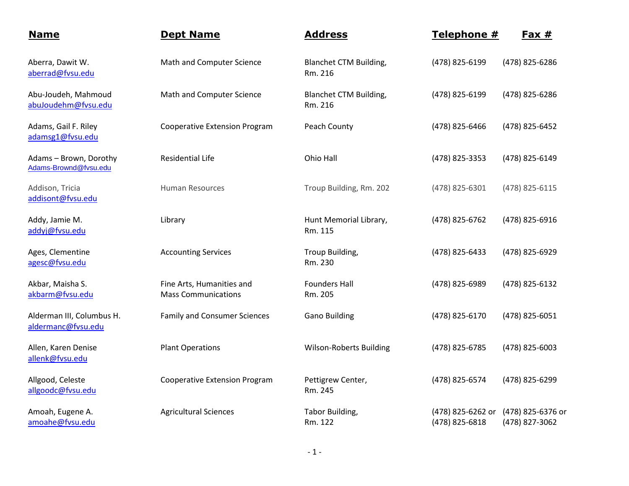| <b>Name</b>                                     | <b>Dept Name</b>                                        | <b>Address</b>                           | Telephone #                         | <u>Fax #</u>                        |
|-------------------------------------------------|---------------------------------------------------------|------------------------------------------|-------------------------------------|-------------------------------------|
| Aberra, Dawit W.<br>aberrad@fvsu.edu            | Math and Computer Science                               | <b>Blanchet CTM Building,</b><br>Rm. 216 | (478) 825-6199                      | (478) 825-6286                      |
| Abu-Joudeh, Mahmoud<br>abuJoudehm@fvsu.edu      | Math and Computer Science                               | Blanchet CTM Building,<br>Rm. 216        | (478) 825-6199                      | (478) 825-6286                      |
| Adams, Gail F. Riley<br>adamsg1@fvsu.edu        | <b>Cooperative Extension Program</b>                    | Peach County                             | (478) 825-6466                      | (478) 825-6452                      |
| Adams - Brown, Dorothy<br>Adams-Brownd@fvsu.edu | <b>Residential Life</b>                                 | Ohio Hall                                | (478) 825-3353                      | (478) 825-6149                      |
| Addison, Tricia<br>addisont@fvsu.edu            | <b>Human Resources</b>                                  | Troup Building, Rm. 202                  | (478) 825-6301                      | (478) 825-6115                      |
| Addy, Jamie M.<br>addyj@fvsu.edu                | Library                                                 | Hunt Memorial Library,<br>Rm. 115        | (478) 825-6762                      | (478) 825-6916                      |
| Ages, Clementine<br>agesc@fvsu.edu              | <b>Accounting Services</b>                              | Troup Building,<br>Rm. 230               | (478) 825-6433                      | (478) 825-6929                      |
| Akbar, Maisha S.<br>akbarm@fvsu.edu             | Fine Arts, Humanities and<br><b>Mass Communications</b> | <b>Founders Hall</b><br>Rm. 205          | (478) 825-6989                      | (478) 825-6132                      |
| Alderman III, Columbus H.<br>aldermanc@fvsu.edu | <b>Family and Consumer Sciences</b>                     | <b>Gano Building</b>                     | (478) 825-6170                      | (478) 825-6051                      |
| Allen, Karen Denise<br>allenk@fvsu.edu          | <b>Plant Operations</b>                                 | <b>Wilson-Roberts Building</b>           | (478) 825-6785                      | (478) 825-6003                      |
| Allgood, Celeste<br>allgoodc@fvsu.edu           | <b>Cooperative Extension Program</b>                    | Pettigrew Center,<br>Rm. 245             | (478) 825-6574                      | (478) 825-6299                      |
| Amoah, Eugene A.<br>amoahe@fvsu.edu             | <b>Agricultural Sciences</b>                            | Tabor Building,<br>Rm. 122               | (478) 825-6262 or<br>(478) 825-6818 | (478) 825-6376 or<br>(478) 827-3062 |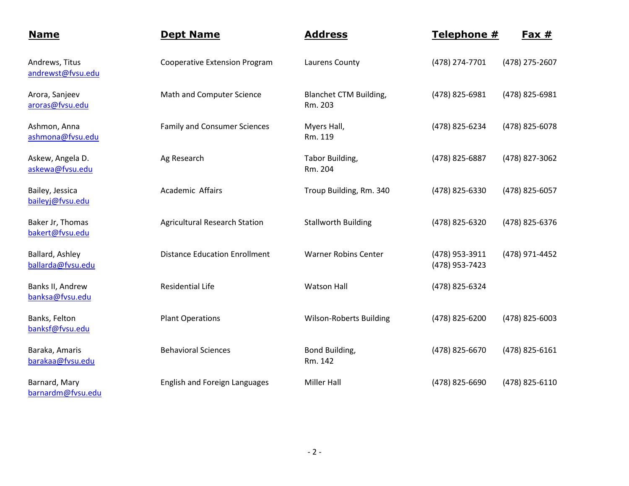| <b>Name</b>                          | <b>Dept Name</b>                     | <b>Address</b>                           | Telephone #                      | $Fax #$        |
|--------------------------------------|--------------------------------------|------------------------------------------|----------------------------------|----------------|
| Andrews, Titus<br>andrewst@fvsu.edu  | <b>Cooperative Extension Program</b> | Laurens County                           | (478) 274-7701                   | (478) 275-2607 |
| Arora, Sanjeev<br>aroras@fvsu.edu    | Math and Computer Science            | <b>Blanchet CTM Building,</b><br>Rm. 203 | (478) 825-6981                   | (478) 825-6981 |
| Ashmon, Anna<br>ashmona@fvsu.edu     | <b>Family and Consumer Sciences</b>  | Myers Hall,<br>Rm. 119                   | (478) 825-6234                   | (478) 825-6078 |
| Askew, Angela D.<br>askewa@fvsu.edu  | Ag Research                          | Tabor Building,<br>Rm. 204               | (478) 825-6887                   | (478) 827-3062 |
| Bailey, Jessica<br>baileyj@fvsu.edu  | Academic Affairs                     | Troup Building, Rm. 340                  | (478) 825-6330                   | (478) 825-6057 |
| Baker Jr, Thomas<br>bakert@fvsu.edu  | <b>Agricultural Research Station</b> | <b>Stallworth Building</b>               | (478) 825-6320                   | (478) 825-6376 |
| Ballard, Ashley<br>ballarda@fvsu.edu | <b>Distance Education Enrollment</b> | <b>Warner Robins Center</b>              | (478) 953-3911<br>(478) 953-7423 | (478) 971-4452 |
| Banks II, Andrew<br>banksa@fvsu.edu  | <b>Residential Life</b>              | <b>Watson Hall</b>                       | (478) 825-6324                   |                |
| Banks, Felton<br>banksf@fvsu.edu     | <b>Plant Operations</b>              | <b>Wilson-Roberts Building</b>           | (478) 825-6200                   | (478) 825-6003 |
| Baraka, Amaris<br>barakaa@fvsu.edu   | <b>Behavioral Sciences</b>           | Bond Building,<br>Rm. 142                | (478) 825-6670                   | (478) 825-6161 |
| Barnard, Mary<br>barnardm@fvsu.edu   | English and Foreign Languages        | <b>Miller Hall</b>                       | (478) 825-6690                   | (478) 825-6110 |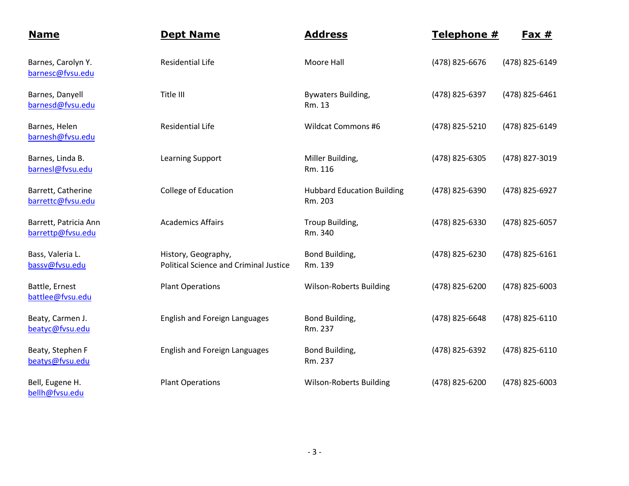| <b>Name</b>                                | <b>Dept Name</b>                                                     | <b>Address</b>                               | Telephone #    | <u>Fax #</u>   |
|--------------------------------------------|----------------------------------------------------------------------|----------------------------------------------|----------------|----------------|
| Barnes, Carolyn Y.<br>barnesc@fvsu.edu     | <b>Residential Life</b>                                              | Moore Hall                                   | (478) 825-6676 | (478) 825-6149 |
| Barnes, Danyell<br>barnesd@fvsu.edu        | Title III                                                            | <b>Bywaters Building,</b><br>Rm. 13          | (478) 825-6397 | (478) 825-6461 |
| Barnes, Helen<br>barnesh@fvsu.edu          | <b>Residential Life</b>                                              | <b>Wildcat Commons #6</b>                    | (478) 825-5210 | (478) 825-6149 |
| Barnes, Linda B.<br>barnesl@fvsu.edu       | Learning Support                                                     | Miller Building,<br>Rm. 116                  | (478) 825-6305 | (478) 827-3019 |
| Barrett, Catherine<br>barrettc@fvsu.edu    | College of Education                                                 | <b>Hubbard Education Building</b><br>Rm. 203 | (478) 825-6390 | (478) 825-6927 |
| Barrett, Patricia Ann<br>barrettp@fvsu.edu | <b>Academics Affairs</b>                                             | Troup Building,<br>Rm. 340                   | (478) 825-6330 | (478) 825-6057 |
| Bass, Valeria L.<br>bassv@fvsu.edu         | History, Geography,<br><b>Political Science and Criminal Justice</b> | Bond Building,<br>Rm. 139                    | (478) 825-6230 | (478) 825-6161 |
| Battle, Ernest<br>battlee@fvsu.edu         | <b>Plant Operations</b>                                              | <b>Wilson-Roberts Building</b>               | (478) 825-6200 | (478) 825-6003 |
| Beaty, Carmen J.<br>beatyc@fvsu.edu        | <b>English and Foreign Languages</b>                                 | Bond Building,<br>Rm. 237                    | (478) 825-6648 | (478) 825-6110 |
| Beaty, Stephen F<br>beatys@fvsu.edu        | <b>English and Foreign Languages</b>                                 | Bond Building,<br>Rm. 237                    | (478) 825-6392 | (478) 825-6110 |
| Bell, Eugene H.<br>bellh@fvsu.edu          | <b>Plant Operations</b>                                              | <b>Wilson-Roberts Building</b>               | (478) 825-6200 | (478) 825-6003 |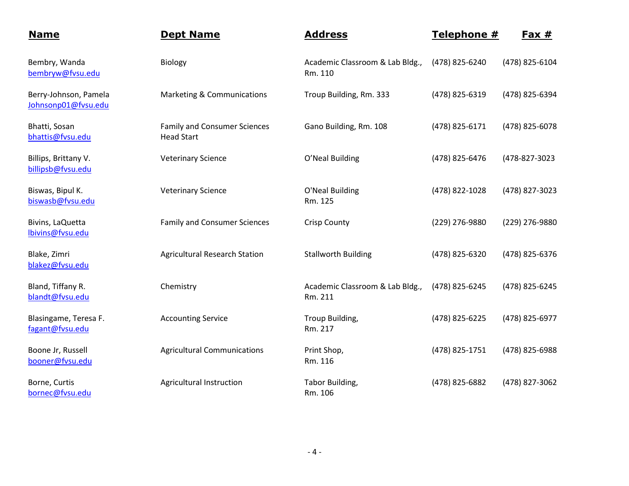| <b>Name</b>                                  | <b>Dept Name</b>                                         | <b>Address</b>                             | Telephone #    | Fax $#$        |
|----------------------------------------------|----------------------------------------------------------|--------------------------------------------|----------------|----------------|
| Bembry, Wanda<br>bembryw@fvsu.edu            | Biology                                                  | Academic Classroom & Lab Bldg.,<br>Rm. 110 | (478) 825-6240 | (478) 825-6104 |
| Berry-Johnson, Pamela<br>Johnsonp01@fvsu.edu | Marketing & Communications                               | Troup Building, Rm. 333                    | (478) 825-6319 | (478) 825-6394 |
| Bhatti, Sosan<br>bhattis@fvsu.edu            | <b>Family and Consumer Sciences</b><br><b>Head Start</b> | Gano Building, Rm. 108                     | (478) 825-6171 | (478) 825-6078 |
| Billips, Brittany V.<br>billipsb@fvsu.edu    | <b>Veterinary Science</b>                                | O'Neal Building                            | (478) 825-6476 | (478-827-3023  |
| Biswas, Bipul K.<br>biswasb@fvsu.edu         | <b>Veterinary Science</b>                                | O'Neal Building<br>Rm. 125                 | (478) 822-1028 | (478) 827-3023 |
| Bivins, LaQuetta<br>lbivins@fvsu.edu         | <b>Family and Consumer Sciences</b>                      | <b>Crisp County</b>                        | (229) 276-9880 | (229) 276-9880 |
| Blake, Zimri<br>blakez@fvsu.edu              | <b>Agricultural Research Station</b>                     | <b>Stallworth Building</b>                 | (478) 825-6320 | (478) 825-6376 |
| Bland, Tiffany R.<br>blandt@fvsu.edu         | Chemistry                                                | Academic Classroom & Lab Bldg.,<br>Rm. 211 | (478) 825-6245 | (478) 825-6245 |
| Blasingame, Teresa F.<br>fagant@fvsu.edu     | <b>Accounting Service</b>                                | Troup Building,<br>Rm. 217                 | (478) 825-6225 | (478) 825-6977 |
| Boone Jr, Russell<br>booner@fvsu.edu         | <b>Agricultural Communications</b>                       | Print Shop,<br>Rm. 116                     | (478) 825-1751 | (478) 825-6988 |
| Borne, Curtis<br>bornec@fvsu.edu             | Agricultural Instruction                                 | Tabor Building,<br>Rm. 106                 | (478) 825-6882 | (478) 827-3062 |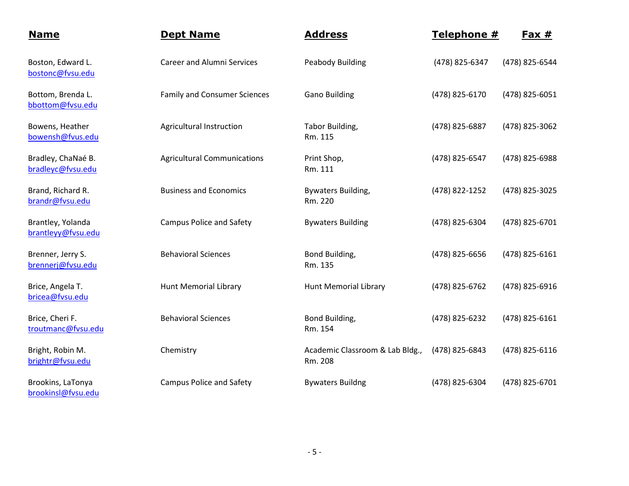| <b>Name</b>                             | <b>Dept Name</b>                    | <b>Address</b>                             | Telephone #    | <u>Fax #</u>   |
|-----------------------------------------|-------------------------------------|--------------------------------------------|----------------|----------------|
| Boston, Edward L.<br>bostonc@fvsu.edu   | <b>Career and Alumni Services</b>   | <b>Peabody Building</b>                    | (478) 825-6347 | (478) 825-6544 |
| Bottom, Brenda L.<br>bbottom@fvsu.edu   | <b>Family and Consumer Sciences</b> | <b>Gano Building</b>                       | (478) 825-6170 | (478) 825-6051 |
| Bowens, Heather<br>bowensh@fvus.edu     | Agricultural Instruction            | Tabor Building,<br>Rm. 115                 | (478) 825-6887 | (478) 825-3062 |
| Bradley, ChaNaé B.<br>bradleyc@fvsu.edu | <b>Agricultural Communications</b>  | Print Shop,<br>Rm. 111                     | (478) 825-6547 | (478) 825-6988 |
| Brand, Richard R.<br>brandr@fvsu.edu    | <b>Business and Economics</b>       | Bywaters Building,<br>Rm. 220              | (478) 822-1252 | (478) 825-3025 |
| Brantley, Yolanda<br>brantleyy@fvsu.edu | <b>Campus Police and Safety</b>     | <b>Bywaters Building</b>                   | (478) 825-6304 | (478) 825-6701 |
| Brenner, Jerry S.<br>brennerj@fvsu.edu  | <b>Behavioral Sciences</b>          | Bond Building,<br>Rm. 135                  | (478) 825-6656 | (478) 825-6161 |
| Brice, Angela T.<br>bricea@fvsu.edu     | <b>Hunt Memorial Library</b>        | <b>Hunt Memorial Library</b>               | (478) 825-6762 | (478) 825-6916 |
| Brice, Cheri F.<br>troutmanc@fvsu.edu   | <b>Behavioral Sciences</b>          | Bond Building,<br>Rm. 154                  | (478) 825-6232 | (478) 825-6161 |
| Bright, Robin M.<br>brightr@fvsu.edu    | Chemistry                           | Academic Classroom & Lab Bldg.,<br>Rm. 208 | (478) 825-6843 | (478) 825-6116 |
| Brookins, LaTonya<br>brookinsl@fvsu.edu | <b>Campus Police and Safety</b>     | <b>Bywaters Buildng</b>                    | (478) 825-6304 | (478) 825-6701 |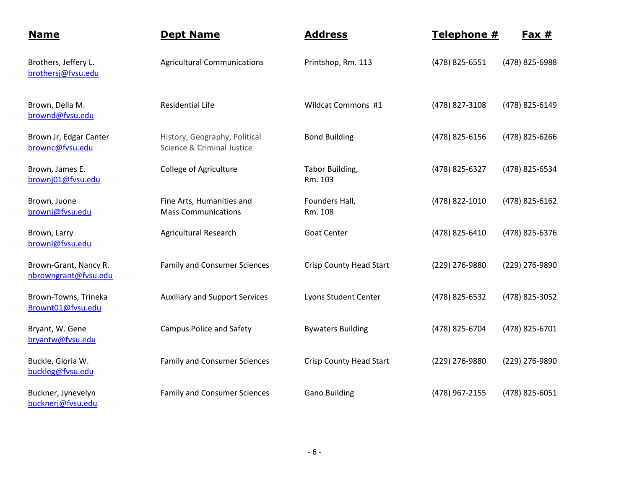| <b>Name</b>                                   | <b>Dept Name</b>                                            | <b>Address</b>                 | Telephone #    | <u>Fax #</u>   |
|-----------------------------------------------|-------------------------------------------------------------|--------------------------------|----------------|----------------|
| Brothers, Jeffery L.<br>brothersj@fvsu.edu    | <b>Agricultural Communications</b>                          | Printshop, Rm. 113             | (478) 825-6551 | (478) 825-6988 |
| Brown, Della M.<br>brownd@fvsu.edu            | <b>Residential Life</b>                                     | Wildcat Commons #1             | (478) 827-3108 | (478) 825-6149 |
| Brown Jr, Edgar Canter<br>brownc@fvsu.edu     | History, Geography, Political<br>Science & Criminal Justice | <b>Bond Building</b>           | (478) 825-6156 | (478) 825-6266 |
| Brown, James E.<br>brownj01@fvsu.edu          | <b>College of Agriculture</b>                               | Tabor Building,<br>Rm. 103     | (478) 825-6327 | (478) 825-6534 |
| Brown, Juone<br>brownj@fvsu.edu               | Fine Arts, Humanities and<br><b>Mass Communications</b>     | Founders Hall,<br>Rm. 108      | (478) 822-1010 | (478) 825-6162 |
| Brown, Larry<br>brownl@fvsu.edu               | <b>Agricultural Research</b>                                | <b>Goat Center</b>             | (478) 825-6410 | (478) 825-6376 |
| Brown-Grant, Nancy R.<br>nbrowngrant@fvsu.edu | <b>Family and Consumer Sciences</b>                         | <b>Crisp County Head Start</b> | (229) 276-9880 | (229) 276-9890 |
| Brown-Towns, Trineka<br>Brownt01@fvsu.edu     | <b>Auxiliary and Support Services</b>                       | Lyons Student Center           | (478) 825-6532 | (478) 825-3052 |
| Bryant, W. Gene<br>bryantw@fvsu.edu           | <b>Campus Police and Safety</b>                             | <b>Bywaters Building</b>       | (478) 825-6704 | (478) 825-6701 |
| Buckle, Gloria W.<br>buckleg@fvsu.edu         | <b>Family and Consumer Sciences</b>                         | <b>Crisp County Head Start</b> | (229) 276-9880 | (229) 276-9890 |
| Buckner, Jynevelyn<br>bucknerj@fvsu.edu       | <b>Family and Consumer Sciences</b>                         | <b>Gano Building</b>           | (478) 967-2155 | (478) 825-6051 |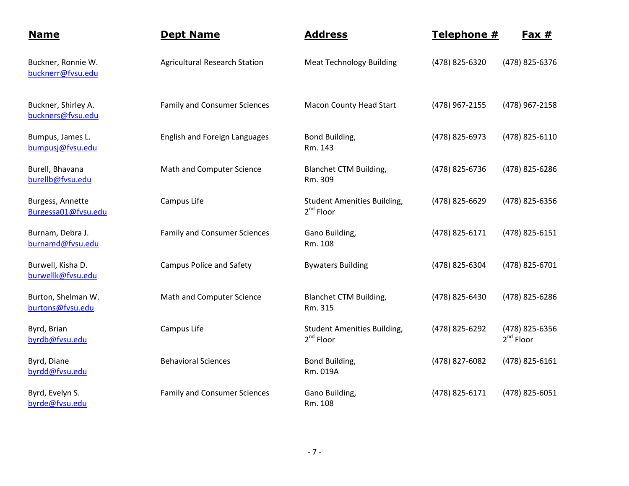| <b>Name</b>                              | <b>Dept Name</b>                     | <b>Address</b>                                       | Telephone #    | <u>Fax #</u>                     |
|------------------------------------------|--------------------------------------|------------------------------------------------------|----------------|----------------------------------|
| Buckner, Ronnie W.<br>bucknerr@fvsu.edu  | <b>Agricultural Research Station</b> | <b>Meat Technology Building</b>                      | (478) 825-6320 | (478) 825-6376                   |
| Buckner, Shirley A.<br>buckners@fvsu.edu | <b>Family and Consumer Sciences</b>  | Macon County Head Start                              | (478) 967-2155 | (478) 967-2158                   |
| Bumpus, James L.<br>bumpusj@fvsu.edu     | <b>English and Foreign Languages</b> | Bond Building,<br>Rm. 143                            | (478) 825-6973 | (478) 825-6110                   |
| Burell, Bhavana<br>burellb@fvsu.edu      | Math and Computer Science            | <b>Blanchet CTM Building,</b><br>Rm. 309             | (478) 825-6736 | (478) 825-6286                   |
| Burgess, Annette<br>Burgessa01@fvsu.edu  | Campus Life                          | <b>Student Amenities Building,</b><br>$2^{nd}$ Floor | (478) 825-6629 | (478) 825-6356                   |
| Burnam, Debra J.<br>burnamd@fvsu.edu     | <b>Family and Consumer Sciences</b>  | Gano Building,<br>Rm. 108                            | (478) 825-6171 | (478) 825-6151                   |
| Burwell, Kisha D.<br>burwellk@fvsu.edu   | <b>Campus Police and Safety</b>      | <b>Bywaters Building</b>                             | (478) 825-6304 | (478) 825-6701                   |
| Burton, Shelman W.<br>burtons@fvsu.edu   | Math and Computer Science            | <b>Blanchet CTM Building,</b><br>Rm. 315             | (478) 825-6430 | (478) 825-6286                   |
| Byrd, Brian<br>byrdb@fvsu.edu            | Campus Life                          | <b>Student Amenities Building,</b><br>$2^{nd}$ Floor | (478) 825-6292 | (478) 825-6356<br>$2^{nd}$ Floor |
| Byrd, Diane<br>byrdd@fvsu.edu            | <b>Behavioral Sciences</b>           | Bond Building,<br>Rm. 019A                           | (478) 827-6082 | (478) 825-6161                   |
| Byrd, Evelyn S.<br>byrde@fvsu.edu        | <b>Family and Consumer Sciences</b>  | Gano Building,<br>Rm. 108                            | (478) 825-6171 | (478) 825-6051                   |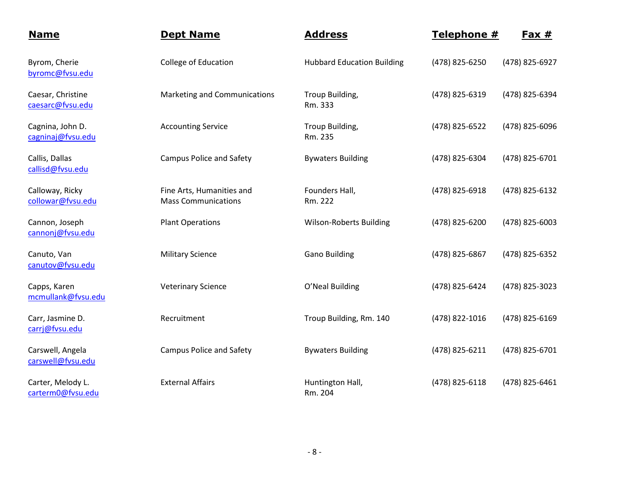| <b>Name</b>                            | <b>Dept Name</b>                                        | <b>Address</b>                    | Telephone #    | $Fax #$        |
|----------------------------------------|---------------------------------------------------------|-----------------------------------|----------------|----------------|
| Byrom, Cherie<br>byromc@fvsu.edu       | <b>College of Education</b>                             | <b>Hubbard Education Building</b> | (478) 825-6250 | (478) 825-6927 |
| Caesar, Christine<br>caesarc@fvsu.edu  | Marketing and Communications                            | Troup Building,<br>Rm. 333        | (478) 825-6319 | (478) 825-6394 |
| Cagnina, John D.<br>cagninaj@fvsu.edu  | <b>Accounting Service</b>                               | Troup Building,<br>Rm. 235        | (478) 825-6522 | (478) 825-6096 |
| Callis, Dallas<br>callisd@fvsu.edu     | <b>Campus Police and Safety</b>                         | <b>Bywaters Building</b>          | (478) 825-6304 | (478) 825-6701 |
| Calloway, Ricky<br>collowar@fvsu.edu   | Fine Arts, Humanities and<br><b>Mass Communications</b> | Founders Hall,<br>Rm. 222         | (478) 825-6918 | (478) 825-6132 |
| Cannon, Joseph<br>cannonj@fvsu.edu     | <b>Plant Operations</b>                                 | <b>Wilson-Roberts Building</b>    | (478) 825-6200 | (478) 825-6003 |
| Canuto, Van<br>canutov@fvsu.edu        | <b>Military Science</b>                                 | <b>Gano Building</b>              | (478) 825-6867 | (478) 825-6352 |
| Capps, Karen<br>mcmullank@fvsu.edu     | <b>Veterinary Science</b>                               | O'Neal Building                   | (478) 825-6424 | (478) 825-3023 |
| Carr, Jasmine D.<br>carrj@fvsu.edu     | Recruitment                                             | Troup Building, Rm. 140           | (478) 822-1016 | (478) 825-6169 |
| Carswell, Angela<br>carswell@fvsu.edu  | <b>Campus Police and Safety</b>                         | <b>Bywaters Building</b>          | (478) 825-6211 | (478) 825-6701 |
| Carter, Melody L.<br>carterm0@fvsu.edu | <b>External Affairs</b>                                 | Huntington Hall,<br>Rm. 204       | (478) 825-6118 | (478) 825-6461 |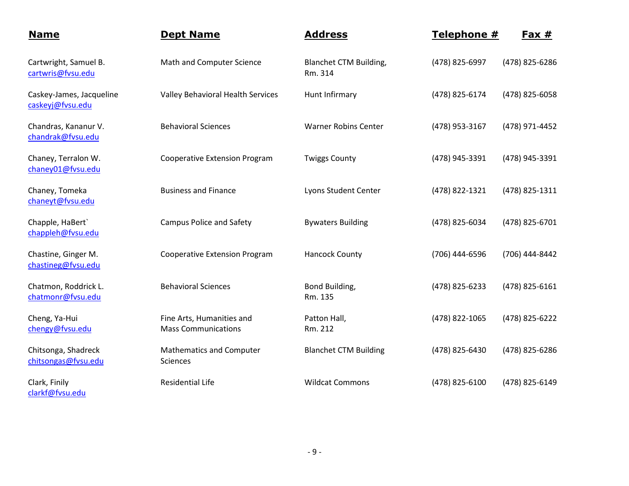| <b>Name</b>                                  | <b>Dept Name</b>                                        | <b>Address</b>                           | Telephone #    | $Fax #$        |
|----------------------------------------------|---------------------------------------------------------|------------------------------------------|----------------|----------------|
| Cartwright, Samuel B.<br>cartwris@fvsu.edu   | Math and Computer Science                               | <b>Blanchet CTM Building,</b><br>Rm. 314 | (478) 825-6997 | (478) 825-6286 |
| Caskey-James, Jacqueline<br>caskeyj@fvsu.edu | Valley Behavioral Health Services                       | Hunt Infirmary                           | (478) 825-6174 | (478) 825-6058 |
| Chandras, Kananur V.<br>chandrak@fvsu.edu    | <b>Behavioral Sciences</b>                              | <b>Warner Robins Center</b>              | (478) 953-3167 | (478) 971-4452 |
| Chaney, Terralon W.<br>chaney01@fvsu.edu     | <b>Cooperative Extension Program</b>                    | <b>Twiggs County</b>                     | (478) 945-3391 | (478) 945-3391 |
| Chaney, Tomeka<br>chaneyt@fvsu.edu           | <b>Business and Finance</b>                             | Lyons Student Center                     | (478) 822-1321 | (478) 825-1311 |
| Chapple, HaBert`<br>chappleh@fvsu.edu        | <b>Campus Police and Safety</b>                         | <b>Bywaters Building</b>                 | (478) 825-6034 | (478) 825-6701 |
| Chastine, Ginger M.<br>chastineg@fvsu.edu    | <b>Cooperative Extension Program</b>                    | <b>Hancock County</b>                    | (706) 444-6596 | (706) 444-8442 |
| Chatmon, Roddrick L.<br>chatmonr@fvsu.edu    | <b>Behavioral Sciences</b>                              | Bond Building,<br>Rm. 135                | (478) 825-6233 | (478) 825-6161 |
| Cheng, Ya-Hui<br>chengy@fvsu.edu             | Fine Arts, Humanities and<br><b>Mass Communications</b> | Patton Hall,<br>Rm. 212                  | (478) 822-1065 | (478) 825-6222 |
| Chitsonga, Shadreck<br>chitsongas@fvsu.edu   | <b>Mathematics and Computer</b><br><b>Sciences</b>      | <b>Blanchet CTM Building</b>             | (478) 825-6430 | (478) 825-6286 |
| Clark, Finily<br>clarkf@fvsu.edu             | <b>Residential Life</b>                                 | <b>Wildcat Commons</b>                   | (478) 825-6100 | (478) 825-6149 |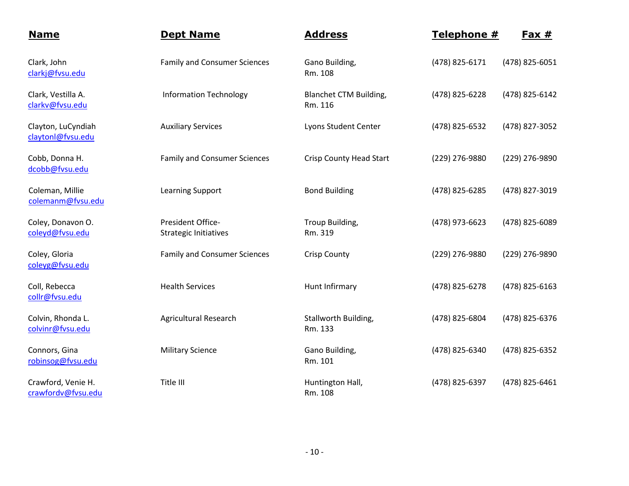| <b>Name</b>                              | <b>Dept Name</b>                                  | <b>Address</b>                    | Telephone #    | $Fax #$        |
|------------------------------------------|---------------------------------------------------|-----------------------------------|----------------|----------------|
| Clark, John<br>clarkj@fvsu.edu           | <b>Family and Consumer Sciences</b>               | Gano Building,<br>Rm. 108         | (478) 825-6171 | (478) 825-6051 |
| Clark, Vestilla A.<br>clarkv@fvsu.edu    | <b>Information Technology</b>                     | Blanchet CTM Building,<br>Rm. 116 | (478) 825-6228 | (478) 825-6142 |
| Clayton, LuCyndiah<br>claytonl@fvsu.edu  | <b>Auxiliary Services</b>                         | Lyons Student Center              | (478) 825-6532 | (478) 827-3052 |
| Cobb, Donna H.<br>dcobb@fvsu.edu         | <b>Family and Consumer Sciences</b>               | <b>Crisp County Head Start</b>    | (229) 276-9880 | (229) 276-9890 |
| Coleman, Millie<br>colemanm@fvsu.edu     | <b>Learning Support</b>                           | <b>Bond Building</b>              | (478) 825-6285 | (478) 827-3019 |
| Coley, Donavon O.<br>coleyd@fvsu.edu     | President Office-<br><b>Strategic Initiatives</b> | Troup Building,<br>Rm. 319        | (478) 973-6623 | (478) 825-6089 |
| Coley, Gloria<br>coleyg@fvsu.edu         | <b>Family and Consumer Sciences</b>               | <b>Crisp County</b>               | (229) 276-9880 | (229) 276-9890 |
| Coll, Rebecca<br>collr@fvsu.edu          | <b>Health Services</b>                            | Hunt Infirmary                    | (478) 825-6278 | (478) 825-6163 |
| Colvin, Rhonda L.<br>colvinr@fvsu.edu    | <b>Agricultural Research</b>                      | Stallworth Building,<br>Rm. 133   | (478) 825-6804 | (478) 825-6376 |
| Connors, Gina<br>robinsog@fvsu.edu       | <b>Military Science</b>                           | Gano Building,<br>Rm. 101         | (478) 825-6340 | (478) 825-6352 |
| Crawford, Venie H.<br>crawfordv@fvsu.edu | Title III                                         | Huntington Hall,<br>Rm. 108       | (478) 825-6397 | (478) 825-6461 |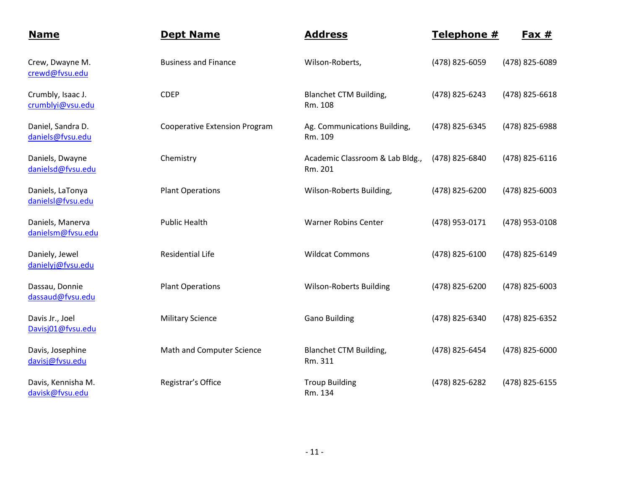| <b>Name</b>                           | <b>Dept Name</b>                     | <b>Address</b>                             | Telephone #    | $Fax #$        |
|---------------------------------------|--------------------------------------|--------------------------------------------|----------------|----------------|
| Crew, Dwayne M.<br>crewd@fvsu.edu     | <b>Business and Finance</b>          | Wilson-Roberts,                            | (478) 825-6059 | (478) 825-6089 |
| Crumbly, Isaac J.<br>crumblyi@vsu.edu | <b>CDEP</b>                          | <b>Blanchet CTM Building,</b><br>Rm. 108   | (478) 825-6243 | (478) 825-6618 |
| Daniel, Sandra D.<br>daniels@fvsu.edu | <b>Cooperative Extension Program</b> | Ag. Communications Building,<br>Rm. 109    | (478) 825-6345 | (478) 825-6988 |
| Daniels, Dwayne<br>danielsd@fvsu.edu  | Chemistry                            | Academic Classroom & Lab Bldg.,<br>Rm. 201 | (478) 825-6840 | (478) 825-6116 |
| Daniels, LaTonya<br>danielsl@fvsu.edu | <b>Plant Operations</b>              | Wilson-Roberts Building,                   | (478) 825-6200 | (478) 825-6003 |
| Daniels, Manerva<br>danielsm@fvsu.edu | <b>Public Health</b>                 | <b>Warner Robins Center</b>                | (478) 953-0171 | (478) 953-0108 |
| Daniely, Jewel<br>danielyj@fvsu.edu   | <b>Residential Life</b>              | <b>Wildcat Commons</b>                     | (478) 825-6100 | (478) 825-6149 |
| Dassau, Donnie<br>dassaud@fvsu.edu    | <b>Plant Operations</b>              | <b>Wilson-Roberts Building</b>             | (478) 825-6200 | (478) 825-6003 |
| Davis Jr., Joel<br>Davisj01@fvsu.edu  | <b>Military Science</b>              | <b>Gano Building</b>                       | (478) 825-6340 | (478) 825-6352 |
| Davis, Josephine<br>davisj@fvsu.edu   | Math and Computer Science            | Blanchet CTM Building,<br>Rm. 311          | (478) 825-6454 | (478) 825-6000 |
| Davis, Kennisha M.<br>davisk@fvsu.edu | Registrar's Office                   | <b>Troup Building</b><br>Rm. 134           | (478) 825-6282 | (478) 825-6155 |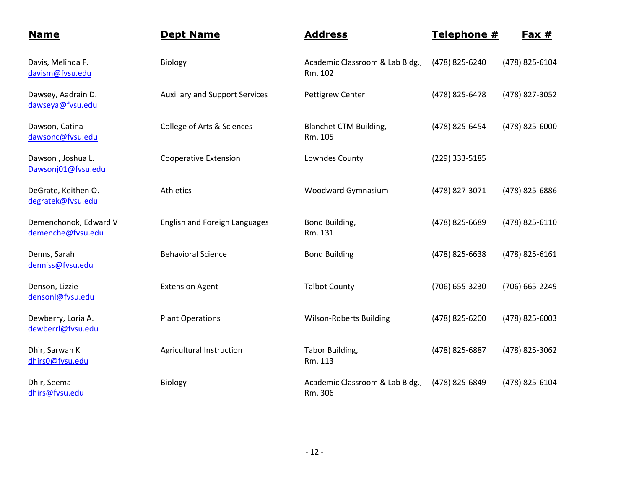| <b>Name</b>                                | <b>Dept Name</b>                      | <b>Address</b>                             | Telephone #    | Fax $#$        |
|--------------------------------------------|---------------------------------------|--------------------------------------------|----------------|----------------|
| Davis, Melinda F.<br>davism@fvsu.edu       | Biology                               | Academic Classroom & Lab Bldg.,<br>Rm. 102 | (478) 825-6240 | (478) 825-6104 |
| Dawsey, Aadrain D.<br>dawseya@fvsu.edu     | <b>Auxiliary and Support Services</b> | <b>Pettigrew Center</b>                    | (478) 825-6478 | (478) 827-3052 |
| Dawson, Catina<br>dawsonc@fvsu.edu         | College of Arts & Sciences            | Blanchet CTM Building,<br>Rm. 105          | (478) 825-6454 | (478) 825-6000 |
| Dawson, Joshua L.<br>Dawsonj01@fvsu.edu    | <b>Cooperative Extension</b>          | Lowndes County                             | (229) 333-5185 |                |
| DeGrate, Keithen O.<br>degratek@fvsu.edu   | Athletics                             | Woodward Gymnasium                         | (478) 827-3071 | (478) 825-6886 |
| Demenchonok, Edward V<br>demenche@fvsu.edu | <b>English and Foreign Languages</b>  | Bond Building,<br>Rm. 131                  | (478) 825-6689 | (478) 825-6110 |
| Denns, Sarah<br>denniss@fvsu.edu           | <b>Behavioral Science</b>             | <b>Bond Building</b>                       | (478) 825-6638 | (478) 825-6161 |
| Denson, Lizzie<br>densonl@fvsu.edu         | <b>Extension Agent</b>                | <b>Talbot County</b>                       | (706) 655-3230 | (706) 665-2249 |
| Dewberry, Loria A.<br>dewberrl@fvsu.edu    | <b>Plant Operations</b>               | <b>Wilson-Roberts Building</b>             | (478) 825-6200 | (478) 825-6003 |
| Dhir, Sarwan K<br>dhirs0@fvsu.edu          | Agricultural Instruction              | Tabor Building,<br>Rm. 113                 | (478) 825-6887 | (478) 825-3062 |
| Dhir, Seema<br>dhirs@fvsu.edu              | Biology                               | Academic Classroom & Lab Bldg.,<br>Rm. 306 | (478) 825-6849 | (478) 825-6104 |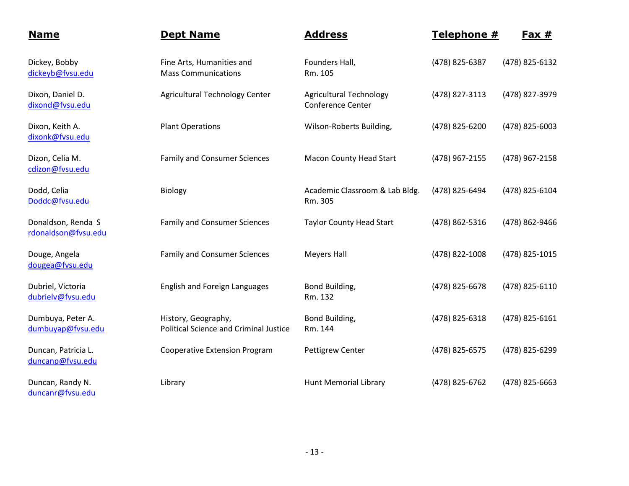| <b>Name</b>                               | <b>Dept Name</b>                                                     | <b>Address</b>                                      | Telephone #    | <u>Fax #</u>   |
|-------------------------------------------|----------------------------------------------------------------------|-----------------------------------------------------|----------------|----------------|
| Dickey, Bobby<br>dickeyb@fvsu.edu         | Fine Arts, Humanities and<br><b>Mass Communications</b>              | Founders Hall,<br>Rm. 105                           | (478) 825-6387 | (478) 825-6132 |
| Dixon, Daniel D.<br>dixond@fvsu.edu       | Agricultural Technology Center                                       | <b>Agricultural Technology</b><br>Conference Center | (478) 827-3113 | (478) 827-3979 |
| Dixon, Keith A.<br>dixonk@fvsu.edu        | <b>Plant Operations</b>                                              | Wilson-Roberts Building,                            | (478) 825-6200 | (478) 825-6003 |
| Dizon, Celia M.<br>cdizon@fvsu.edu        | <b>Family and Consumer Sciences</b>                                  | <b>Macon County Head Start</b>                      | (478) 967-2155 | (478) 967-2158 |
| Dodd, Celia<br>Doddc@fvsu.edu             | Biology                                                              | Academic Classroom & Lab Bldg.<br>Rm. 305           | (478) 825-6494 | (478) 825-6104 |
| Donaldson, Renda S<br>rdonaldson@fvsu.edu | <b>Family and Consumer Sciences</b>                                  | <b>Taylor County Head Start</b>                     | (478) 862-5316 | (478) 862-9466 |
| Douge, Angela<br>dougea@fvsu.edu          | <b>Family and Consumer Sciences</b>                                  | <b>Meyers Hall</b>                                  | (478) 822-1008 | (478) 825-1015 |
| Dubriel, Victoria<br>dubrielv@fvsu.edu    | <b>English and Foreign Languages</b>                                 | Bond Building,<br>Rm. 132                           | (478) 825-6678 | (478) 825-6110 |
| Dumbuya, Peter A.<br>dumbuyap@fvsu.edu    | History, Geography,<br><b>Political Science and Criminal Justice</b> | Bond Building,<br>Rm. 144                           | (478) 825-6318 | (478) 825-6161 |
| Duncan, Patricia L.<br>duncanp@fvsu.edu   | <b>Cooperative Extension Program</b>                                 | <b>Pettigrew Center</b>                             | (478) 825-6575 | (478) 825-6299 |
| Duncan, Randy N.<br>duncanr@fvsu.edu      | Library                                                              | <b>Hunt Memorial Library</b>                        | (478) 825-6762 | (478) 825-6663 |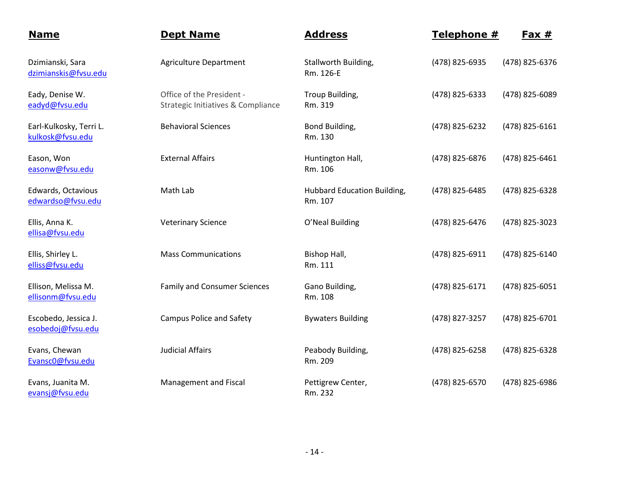| <b>Name</b>                                 | <b>Dept Name</b>                                                | <b>Address</b>                         | Telephone #    | $Fast #$       |
|---------------------------------------------|-----------------------------------------------------------------|----------------------------------------|----------------|----------------|
| Dzimianski, Sara<br>dzimianskis@fvsu.edu    | <b>Agriculture Department</b>                                   | Stallworth Building,<br>Rm. 126-E      | (478) 825-6935 | (478) 825-6376 |
| Eady, Denise W.<br>eadyd@fvsu.edu           | Office of the President -<br>Strategic Initiatives & Compliance | Troup Building,<br>Rm. 319             | (478) 825-6333 | (478) 825-6089 |
| Earl-Kulkosky, Terri L.<br>kulkosk@fvsu.edu | <b>Behavioral Sciences</b>                                      | Bond Building,<br>Rm. 130              | (478) 825-6232 | (478) 825-6161 |
| Eason, Won<br>easonw@fvsu.edu               | <b>External Affairs</b>                                         | Huntington Hall,<br>Rm. 106            | (478) 825-6876 | (478) 825-6461 |
| Edwards, Octavious<br>edwardso@fvsu.edu     | Math Lab                                                        | Hubbard Education Building,<br>Rm. 107 | (478) 825-6485 | (478) 825-6328 |
| Ellis, Anna K.<br>ellisa@fvsu.edu           | <b>Veterinary Science</b>                                       | O'Neal Building                        | (478) 825-6476 | (478) 825-3023 |
| Ellis, Shirley L.<br>elliss@fvsu.edu        | <b>Mass Communications</b>                                      | Bishop Hall,<br>Rm. 111                | (478) 825-6911 | (478) 825-6140 |
| Ellison, Melissa M.<br>ellisonm@fvsu.edu    | <b>Family and Consumer Sciences</b>                             | Gano Building,<br>Rm. 108              | (478) 825-6171 | (478) 825-6051 |
| Escobedo, Jessica J.<br>esobedoj@fvsu.edu   | <b>Campus Police and Safety</b>                                 | <b>Bywaters Building</b>               | (478) 827-3257 | (478) 825-6701 |
| Evans, Chewan<br>Evansc0@fvsu.edu           | <b>Judicial Affairs</b>                                         | Peabody Building,<br>Rm. 209           | (478) 825-6258 | (478) 825-6328 |
| Evans, Juanita M.<br>evansj@fvsu.edu        | Management and Fiscal                                           | Pettigrew Center,<br>Rm. 232           | (478) 825-6570 | (478) 825-6986 |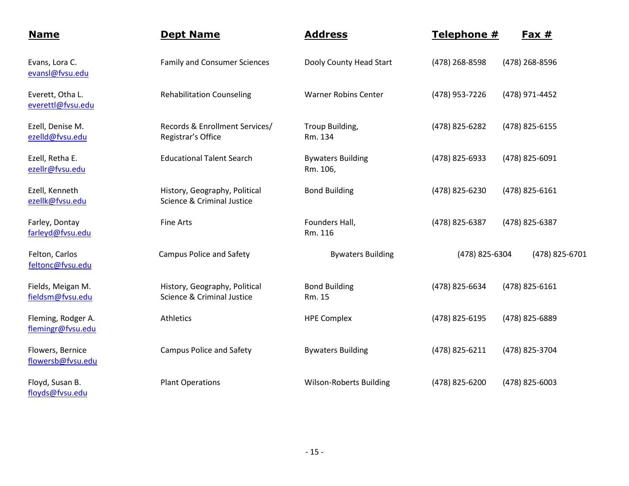| <b>Name</b>                             | <b>Dept Name</b>                                            | <b>Address</b>                       | Telephone #    | Fax $#$        |
|-----------------------------------------|-------------------------------------------------------------|--------------------------------------|----------------|----------------|
| Evans, Lora C.<br>evansl@fvsu.edu       | <b>Family and Consumer Sciences</b>                         | Dooly County Head Start              | (478) 268-8598 | (478) 268-8596 |
| Everett, Otha L.<br>everettl@fvsu.edu   | <b>Rehabilitation Counseling</b>                            | <b>Warner Robins Center</b>          | (478) 953-7226 | (478) 971-4452 |
| Ezell, Denise M.<br>ezelld@fvsu.edu     | Records & Enrollment Services/<br>Registrar's Office        | Troup Building,<br>Rm. 134           | (478) 825-6282 | (478) 825-6155 |
| Ezell, Retha E.<br>ezellr@fvsu.edu      | <b>Educational Talent Search</b>                            | <b>Bywaters Building</b><br>Rm. 106, | (478) 825-6933 | (478) 825-6091 |
| Ezell, Kenneth<br>ezellk@fvsu.edu       | History, Geography, Political<br>Science & Criminal Justice | <b>Bond Building</b>                 | (478) 825-6230 | (478) 825-6161 |
| Farley, Dontay<br>farleyd@fvsu.edu      | <b>Fine Arts</b>                                            | Founders Hall,<br>Rm. 116            | (478) 825-6387 | (478) 825-6387 |
| Felton, Carlos<br>feltonc@fvsu.edu      | <b>Campus Police and Safety</b>                             | <b>Bywaters Building</b>             | (478) 825-6304 | (478) 825-6701 |
| Fields, Meigan M.<br>fieldsm@fvsu.edu   | History, Geography, Political<br>Science & Criminal Justice | <b>Bond Building</b><br>Rm. 15       | (478) 825-6634 | (478) 825-6161 |
| Fleming, Rodger A.<br>flemingr@fvsu.edu | Athletics                                                   | <b>HPE Complex</b>                   | (478) 825-6195 | (478) 825-6889 |
| Flowers, Bernice<br>flowersb@fvsu.edu   | <b>Campus Police and Safety</b>                             | <b>Bywaters Building</b>             | (478) 825-6211 | (478) 825-3704 |
| Floyd, Susan B.<br>floyds@fvsu.edu      | <b>Plant Operations</b>                                     | <b>Wilson-Roberts Building</b>       | (478) 825-6200 | (478) 825-6003 |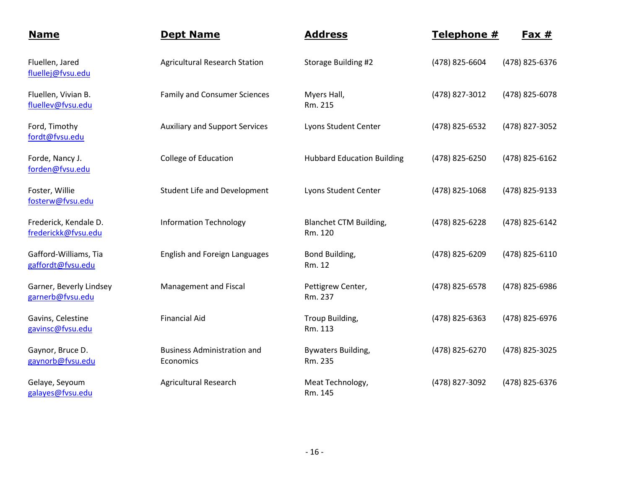| <b>Name</b>                                  | <b>Dept Name</b>                                | <b>Address</b>                           | Telephone #    | <u>Fax #</u>   |
|----------------------------------------------|-------------------------------------------------|------------------------------------------|----------------|----------------|
| Fluellen, Jared<br>fluellej@fvsu.edu         | <b>Agricultural Research Station</b>            | Storage Building #2                      | (478) 825-6604 | (478) 825-6376 |
| Fluellen, Vivian B.<br>fluellev@fvsu.edu     | <b>Family and Consumer Sciences</b>             | Myers Hall,<br>Rm. 215                   | (478) 827-3012 | (478) 825-6078 |
| Ford, Timothy<br>fordt@fvsu.edu              | <b>Auxiliary and Support Services</b>           | Lyons Student Center                     | (478) 825-6532 | (478) 827-3052 |
| Forde, Nancy J.<br>forden@fvsu.edu           | College of Education                            | <b>Hubbard Education Building</b>        | (478) 825-6250 | (478) 825-6162 |
| Foster, Willie<br>fosterw@fvsu.edu           | <b>Student Life and Development</b>             | Lyons Student Center                     | (478) 825-1068 | (478) 825-9133 |
| Frederick, Kendale D.<br>frederickk@fvsu.edu | <b>Information Technology</b>                   | <b>Blanchet CTM Building,</b><br>Rm. 120 | (478) 825-6228 | (478) 825-6142 |
| Gafford-Williams, Tia<br>gaffordt@fvsu.edu   | <b>English and Foreign Languages</b>            | Bond Building,<br>Rm. 12                 | (478) 825-6209 | (478) 825-6110 |
| Garner, Beverly Lindsey<br>garnerb@fvsu.edu  | Management and Fiscal                           | Pettigrew Center,<br>Rm. 237             | (478) 825-6578 | (478) 825-6986 |
| Gavins, Celestine<br>gavinsc@fvsu.edu        | <b>Financial Aid</b>                            | Troup Building,<br>Rm. 113               | (478) 825-6363 | (478) 825-6976 |
| Gaynor, Bruce D.<br>gaynorb@fvsu.edu         | <b>Business Administration and</b><br>Economics | Bywaters Building,<br>Rm. 235            | (478) 825-6270 | (478) 825-3025 |
| Gelaye, Seyoum<br>galayes@fvsu.edu           | <b>Agricultural Research</b>                    | Meat Technology,<br>Rm. 145              | (478) 827-3092 | (478) 825-6376 |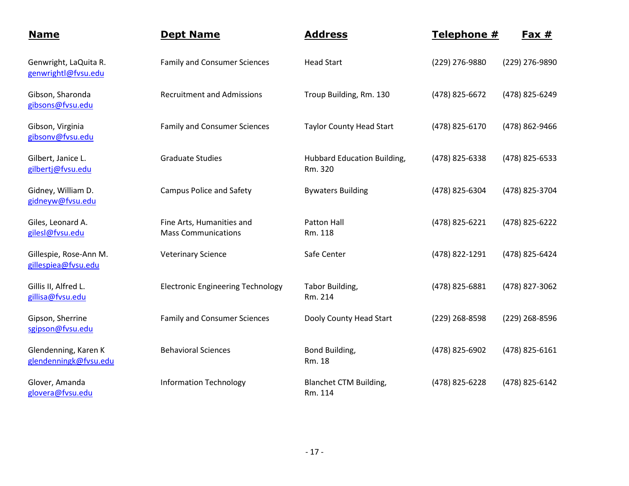| <b>Name</b>                                   | <b>Dept Name</b>                                        | <b>Address</b>                           | Telephone #    | <u>Fax #</u>   |
|-----------------------------------------------|---------------------------------------------------------|------------------------------------------|----------------|----------------|
| Genwright, LaQuita R.<br>genwrightl@fvsu.edu  | <b>Family and Consumer Sciences</b>                     | <b>Head Start</b>                        | (229) 276-9880 | (229) 276-9890 |
| Gibson, Sharonda<br>gibsons@fvsu.edu          | <b>Recruitment and Admissions</b>                       | Troup Building, Rm. 130                  | (478) 825-6672 | (478) 825-6249 |
| Gibson, Virginia<br>gibsonv@fvsu.edu          | <b>Family and Consumer Sciences</b>                     | <b>Taylor County Head Start</b>          | (478) 825-6170 | (478) 862-9466 |
| Gilbert, Janice L.<br>gilbertj@fvsu.edu       | <b>Graduate Studies</b>                                 | Hubbard Education Building,<br>Rm. 320   | (478) 825-6338 | (478) 825-6533 |
| Gidney, William D.<br>gidneyw@fvsu.edu        | <b>Campus Police and Safety</b>                         | <b>Bywaters Building</b>                 | (478) 825-6304 | (478) 825-3704 |
| Giles, Leonard A.<br>gilesl@fvsu.edu          | Fine Arts, Humanities and<br><b>Mass Communications</b> | <b>Patton Hall</b><br>Rm. 118            | (478) 825-6221 | (478) 825-6222 |
| Gillespie, Rose-Ann M.<br>gillespiea@fvsu.edu | <b>Veterinary Science</b>                               | Safe Center                              | (478) 822-1291 | (478) 825-6424 |
| Gillis II, Alfred L.<br>gillisa@fvsu.edu      | <b>Electronic Engineering Technology</b>                | Tabor Building,<br>Rm. 214               | (478) 825-6881 | (478) 827-3062 |
| Gipson, Sherrine<br>sgipson@fvsu.edu          | <b>Family and Consumer Sciences</b>                     | Dooly County Head Start                  | (229) 268-8598 | (229) 268-8596 |
| Glendenning, Karen K<br>glendenningk@fvsu.edu | <b>Behavioral Sciences</b>                              | Bond Building,<br>Rm. 18                 | (478) 825-6902 | (478) 825-6161 |
| Glover, Amanda<br>glovera@fvsu.edu            | <b>Information Technology</b>                           | <b>Blanchet CTM Building,</b><br>Rm. 114 | (478) 825-6228 | (478) 825-6142 |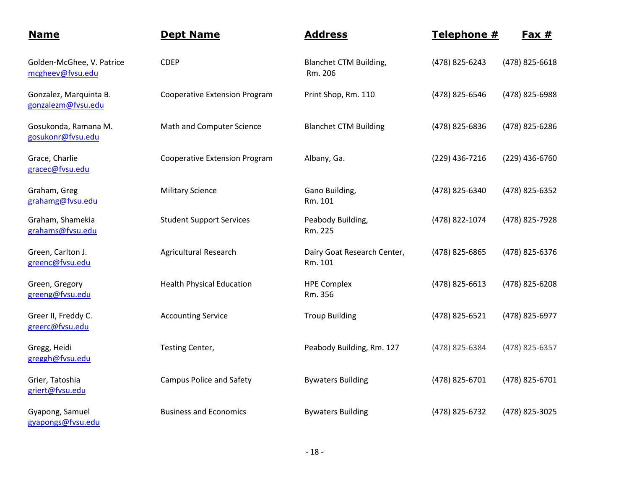| <b>Name</b>                                   | <b>Dept Name</b>                     | <b>Address</b>                           | Telephone #    | $Fast #$       |
|-----------------------------------------------|--------------------------------------|------------------------------------------|----------------|----------------|
| Golden-McGhee, V. Patrice<br>mcgheev@fvsu.edu | <b>CDEP</b>                          | <b>Blanchet CTM Building,</b><br>Rm. 206 | (478) 825-6243 | (478) 825-6618 |
| Gonzalez, Marquinta B.<br>gonzalezm@fvsu.edu  | <b>Cooperative Extension Program</b> | Print Shop, Rm. 110                      | (478) 825-6546 | (478) 825-6988 |
| Gosukonda, Ramana M.<br>gosukonr@fvsu.edu     | Math and Computer Science            | <b>Blanchet CTM Building</b>             | (478) 825-6836 | (478) 825-6286 |
| Grace, Charlie<br>gracec@fvsu.edu             | <b>Cooperative Extension Program</b> | Albany, Ga.                              | (229) 436-7216 | (229) 436-6760 |
| Graham, Greg<br>grahamg@fvsu.edu              | <b>Military Science</b>              | Gano Building,<br>Rm. 101                | (478) 825-6340 | (478) 825-6352 |
| Graham, Shamekia<br>grahams@fvsu.edu          | <b>Student Support Services</b>      | Peabody Building,<br>Rm. 225             | (478) 822-1074 | (478) 825-7928 |
| Green, Carlton J.<br>greenc@fvsu.edu          | <b>Agricultural Research</b>         | Dairy Goat Research Center,<br>Rm. 101   | (478) 825-6865 | (478) 825-6376 |
| Green, Gregory<br>greeng@fvsu.edu             | <b>Health Physical Education</b>     | <b>HPE Complex</b><br>Rm. 356            | (478) 825-6613 | (478) 825-6208 |
| Greer II, Freddy C.<br>greerc@fvsu.edu        | <b>Accounting Service</b>            | <b>Troup Building</b>                    | (478) 825-6521 | (478) 825-6977 |
| Gregg, Heidi<br>greggh@fvsu.edu               | Testing Center,                      | Peabody Building, Rm. 127                | (478) 825-6384 | (478) 825-6357 |
| Grier, Tatoshia<br>griert@fvsu.edu            | <b>Campus Police and Safety</b>      | <b>Bywaters Building</b>                 | (478) 825-6701 | (478) 825-6701 |
| Gyapong, Samuel<br>gyapongs@fvsu.edu          | <b>Business and Economics</b>        | <b>Bywaters Building</b>                 | (478) 825-6732 | (478) 825-3025 |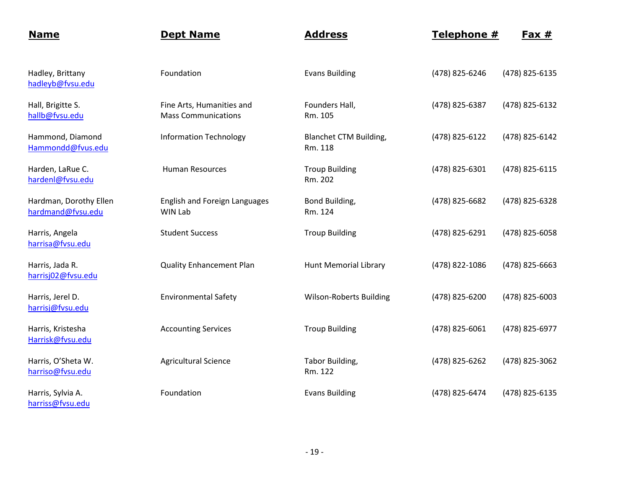| <b>Name</b>                                 | <b>Dept Name</b>                                        | <b>Address</b>                    | Telephone #    | $Fax #$        |
|---------------------------------------------|---------------------------------------------------------|-----------------------------------|----------------|----------------|
| Hadley, Brittany<br>hadleyb@fvsu.edu        | Foundation                                              | <b>Evans Building</b>             | (478) 825-6246 | (478) 825-6135 |
| Hall, Brigitte S.<br>hallb@fvsu.edu         | Fine Arts, Humanities and<br><b>Mass Communications</b> | Founders Hall,<br>Rm. 105         | (478) 825-6387 | (478) 825-6132 |
| Hammond, Diamond<br>Hammondd@fvus.edu       | <b>Information Technology</b>                           | Blanchet CTM Building,<br>Rm. 118 | (478) 825-6122 | (478) 825-6142 |
| Harden, LaRue C.<br>hardenl@fvsu.edu        | <b>Human Resources</b>                                  | <b>Troup Building</b><br>Rm. 202  | (478) 825-6301 | (478) 825-6115 |
| Hardman, Dorothy Ellen<br>hardmand@fvsu.edu | <b>English and Foreign Languages</b><br>WIN Lab         | Bond Building,<br>Rm. 124         | (478) 825-6682 | (478) 825-6328 |
| Harris, Angela<br>harrisa@fvsu.edu          | <b>Student Success</b>                                  | <b>Troup Building</b>             | (478) 825-6291 | (478) 825-6058 |
| Harris, Jada R.<br>harrisj02@fvsu.edu       | <b>Quality Enhancement Plan</b>                         | <b>Hunt Memorial Library</b>      | (478) 822-1086 | (478) 825-6663 |
| Harris, Jerel D.<br>harrisj@fvsu.edu        | <b>Environmental Safety</b>                             | <b>Wilson-Roberts Building</b>    | (478) 825-6200 | (478) 825-6003 |
| Harris, Kristesha<br>Harrisk@fvsu.edu       | <b>Accounting Services</b>                              | <b>Troup Building</b>             | (478) 825-6061 | (478) 825-6977 |
| Harris, O'Sheta W.<br>harriso@fvsu.edu      | <b>Agricultural Science</b>                             | Tabor Building,<br>Rm. 122        | (478) 825-6262 | (478) 825-3062 |
| Harris, Sylvia A.<br>harriss@fvsu.edu       | Foundation                                              | <b>Evans Building</b>             | (478) 825-6474 | (478) 825-6135 |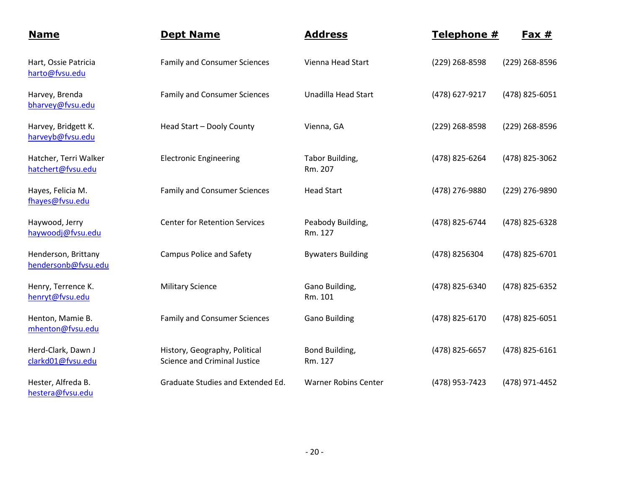| <b>Name</b>                                | <b>Dept Name</b>                                              | <b>Address</b>               | Telephone #    | <u>Fax #</u>   |
|--------------------------------------------|---------------------------------------------------------------|------------------------------|----------------|----------------|
| Hart, Ossie Patricia<br>harto@fvsu.edu     | <b>Family and Consumer Sciences</b>                           | Vienna Head Start            | (229) 268-8598 | (229) 268-8596 |
| Harvey, Brenda<br>bharvey@fvsu.edu         | <b>Family and Consumer Sciences</b>                           | Unadilla Head Start          | (478) 627-9217 | (478) 825-6051 |
| Harvey, Bridgett K.<br>harveyb@fvsu.edu    | Head Start - Dooly County                                     | Vienna, GA                   | (229) 268-8598 | (229) 268-8596 |
| Hatcher, Terri Walker<br>hatchert@fvsu.edu | <b>Electronic Engineering</b>                                 | Tabor Building,<br>Rm. 207   | (478) 825-6264 | (478) 825-3062 |
| Hayes, Felicia M.<br>fhayes@fvsu.edu       | <b>Family and Consumer Sciences</b>                           | <b>Head Start</b>            | (478) 276-9880 | (229) 276-9890 |
| Haywood, Jerry<br>haywoodj@fvsu.edu        | <b>Center for Retention Services</b>                          | Peabody Building,<br>Rm. 127 | (478) 825-6744 | (478) 825-6328 |
| Henderson, Brittany<br>hendersonb@fvsu.edu | <b>Campus Police and Safety</b>                               | <b>Bywaters Building</b>     | (478) 8256304  | (478) 825-6701 |
| Henry, Terrence K.<br>henryt@fvsu.edu      | <b>Military Science</b>                                       | Gano Building,<br>Rm. 101    | (478) 825-6340 | (478) 825-6352 |
| Henton, Mamie B.<br>mhenton@fvsu.edu       | <b>Family and Consumer Sciences</b>                           | <b>Gano Building</b>         | (478) 825-6170 | (478) 825-6051 |
| Herd-Clark, Dawn J<br>clarkd01@fvsu.edu    | History, Geography, Political<br>Science and Criminal Justice | Bond Building,<br>Rm. 127    | (478) 825-6657 | (478) 825-6161 |
| Hester, Alfreda B.<br>hestera@fvsu.edu     | Graduate Studies and Extended Ed.                             | <b>Warner Robins Center</b>  | (478) 953-7423 | (478) 971-4452 |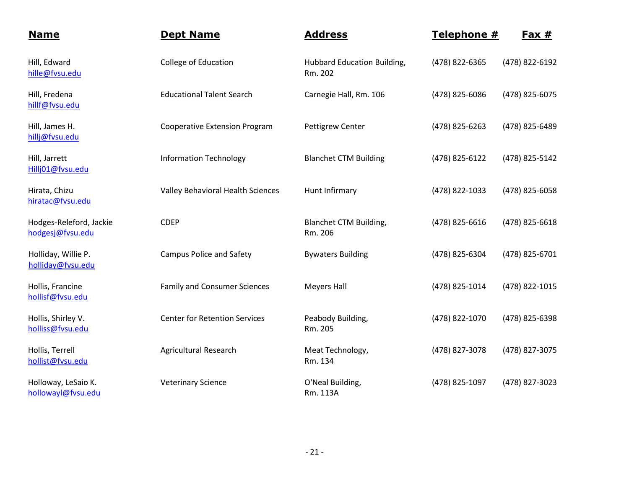| <b>Name</b>                                 | <b>Dept Name</b>                     | <b>Address</b>                           | Telephone #    | $Fax #$        |
|---------------------------------------------|--------------------------------------|------------------------------------------|----------------|----------------|
| Hill, Edward<br>hille@fvsu.edu              | College of Education                 | Hubbard Education Building,<br>Rm. 202   | (478) 822-6365 | (478) 822-6192 |
| Hill, Fredena<br>hillf@fvsu.edu             | <b>Educational Talent Search</b>     | Carnegie Hall, Rm. 106                   | (478) 825-6086 | (478) 825-6075 |
| Hill, James H.<br>hillj@fvsu.edu            | <b>Cooperative Extension Program</b> | Pettigrew Center                         | (478) 825-6263 | (478) 825-6489 |
| Hill, Jarrett<br>Hillj01@fvsu.edu           | <b>Information Technology</b>        | <b>Blanchet CTM Building</b>             | (478) 825-6122 | (478) 825-5142 |
| Hirata, Chizu<br>hiratac@fvsu.edu           | Valley Behavioral Health Sciences    | Hunt Infirmary                           | (478) 822-1033 | (478) 825-6058 |
| Hodges-Releford, Jackie<br>hodgesj@fvsu.edu | <b>CDEP</b>                          | <b>Blanchet CTM Building,</b><br>Rm. 206 | (478) 825-6616 | (478) 825-6618 |
| Holliday, Willie P.<br>holliday@fvsu.edu    | <b>Campus Police and Safety</b>      | <b>Bywaters Building</b>                 | (478) 825-6304 | (478) 825-6701 |
| Hollis, Francine<br>hollisf@fvsu.edu        | <b>Family and Consumer Sciences</b>  | <b>Meyers Hall</b>                       | (478) 825-1014 | (478) 822-1015 |
| Hollis, Shirley V.<br>holliss@fvsu.edu      | <b>Center for Retention Services</b> | Peabody Building,<br>Rm. 205             | (478) 822-1070 | (478) 825-6398 |
| Hollis, Terrell<br>hollist@fvsu.edu         | <b>Agricultural Research</b>         | Meat Technology,<br>Rm. 134              | (478) 827-3078 | (478) 827-3075 |
| Holloway, LeSaio K.<br>hollowayl@fvsu.edu   | <b>Veterinary Science</b>            | O'Neal Building,<br>Rm. 113A             | (478) 825-1097 | (478) 827-3023 |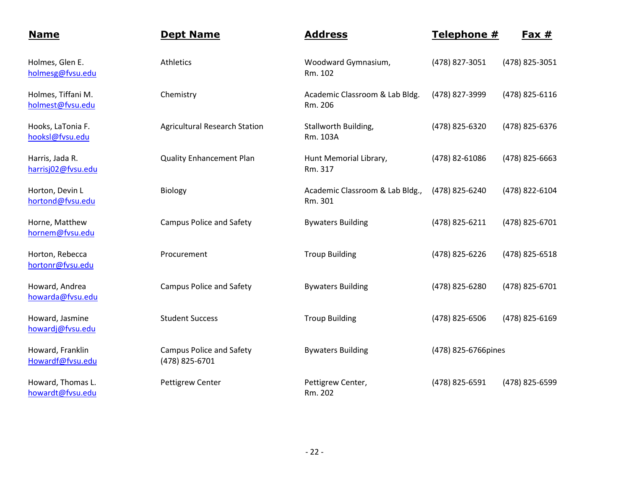| <b>Name</b>                            | <b>Dept Name</b>                                  | <b>Address</b>                             | Telephone #         | <u>Fax #</u>   |
|----------------------------------------|---------------------------------------------------|--------------------------------------------|---------------------|----------------|
| Holmes, Glen E.<br>holmesg@fvsu.edu    | Athletics                                         | Woodward Gymnasium,<br>Rm. 102             | (478) 827-3051      | (478) 825-3051 |
| Holmes, Tiffani M.<br>holmest@fvsu.edu | Chemistry                                         | Academic Classroom & Lab Bldg.<br>Rm. 206  | (478) 827-3999      | (478) 825-6116 |
| Hooks, LaTonia F.<br>hooksl@fvsu.edu   | <b>Agricultural Research Station</b>              | Stallworth Building,<br>Rm. 103A           | (478) 825-6320      | (478) 825-6376 |
| Harris, Jada R.<br>harrisj02@fvsu.edu  | <b>Quality Enhancement Plan</b>                   | Hunt Memorial Library,<br>Rm. 317          | (478) 82-61086      | (478) 825-6663 |
| Horton, Devin L<br>hortond@fvsu.edu    | Biology                                           | Academic Classroom & Lab Bldg.,<br>Rm. 301 | (478) 825-6240      | (478) 822-6104 |
| Horne, Matthew<br>hornem@fvsu.edu      | <b>Campus Police and Safety</b>                   | <b>Bywaters Building</b>                   | (478) 825-6211      | (478) 825-6701 |
| Horton, Rebecca<br>hortonr@fvsu.edu    | Procurement                                       | <b>Troup Building</b>                      | (478) 825-6226      | (478) 825-6518 |
| Howard, Andrea<br>howarda@fvsu.edu     | <b>Campus Police and Safety</b>                   | <b>Bywaters Building</b>                   | (478) 825-6280      | (478) 825-6701 |
| Howard, Jasmine<br>howardj@fvsu.edu    | <b>Student Success</b>                            | <b>Troup Building</b>                      | (478) 825-6506      | (478) 825-6169 |
| Howard, Franklin<br>Howardf@fvsu.edu   | <b>Campus Police and Safety</b><br>(478) 825-6701 | <b>Bywaters Building</b>                   | (478) 825-6766pines |                |
| Howard, Thomas L.<br>howardt@fvsu.edu  | <b>Pettigrew Center</b>                           | Pettigrew Center,<br>Rm. 202               | (478) 825-6591      | (478) 825-6599 |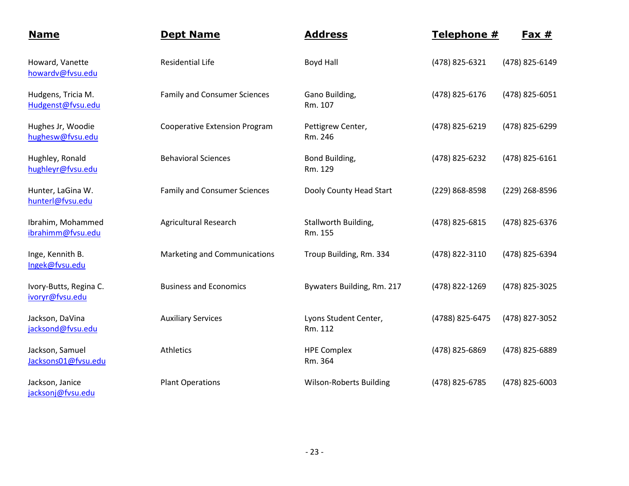| <b>Name</b>                               | <b>Dept Name</b>                     | <b>Address</b>                   | Telephone #     | <u>Fax #</u>   |
|-------------------------------------------|--------------------------------------|----------------------------------|-----------------|----------------|
| Howard, Vanette<br>howardv@fvsu.edu       | <b>Residential Life</b>              | <b>Boyd Hall</b>                 | (478) 825-6321  | (478) 825-6149 |
| Hudgens, Tricia M.<br>Hudgenst@fvsu.edu   | <b>Family and Consumer Sciences</b>  | Gano Building,<br>Rm. 107        | (478) 825-6176  | (478) 825-6051 |
| Hughes Jr, Woodie<br>hughesw@fvsu.edu     | <b>Cooperative Extension Program</b> | Pettigrew Center,<br>Rm. 246     | (478) 825-6219  | (478) 825-6299 |
| Hughley, Ronald<br>hughleyr@fvsu.edu      | <b>Behavioral Sciences</b>           | Bond Building,<br>Rm. 129        | (478) 825-6232  | (478) 825-6161 |
| Hunter, LaGina W.<br>hunterl@fvsu.edu     | <b>Family and Consumer Sciences</b>  | Dooly County Head Start          | (229) 868-8598  | (229) 268-8596 |
| Ibrahim, Mohammed<br>ibrahimm@fvsu.edu    | <b>Agricultural Research</b>         | Stallworth Building,<br>Rm. 155  | (478) 825-6815  | (478) 825-6376 |
| Inge, Kennith B.<br>Ingek@fvsu.edu        | Marketing and Communications         | Troup Building, Rm. 334          | (478) 822-3110  | (478) 825-6394 |
| Ivory-Butts, Regina C.<br>ivoryr@fvsu.edu | <b>Business and Economics</b>        | Bywaters Building, Rm. 217       | (478) 822-1269  | (478) 825-3025 |
| Jackson, DaVina<br>jacksond@fvsu.edu      | <b>Auxiliary Services</b>            | Lyons Student Center,<br>Rm. 112 | (4788) 825-6475 | (478) 827-3052 |
| Jackson, Samuel<br>Jacksons01@fvsu.edu    | Athletics                            | <b>HPE Complex</b><br>Rm. 364    | (478) 825-6869  | (478) 825-6889 |
| Jackson, Janice<br>jacksonj@fvsu.edu      | <b>Plant Operations</b>              | <b>Wilson-Roberts Building</b>   | (478) 825-6785  | (478) 825-6003 |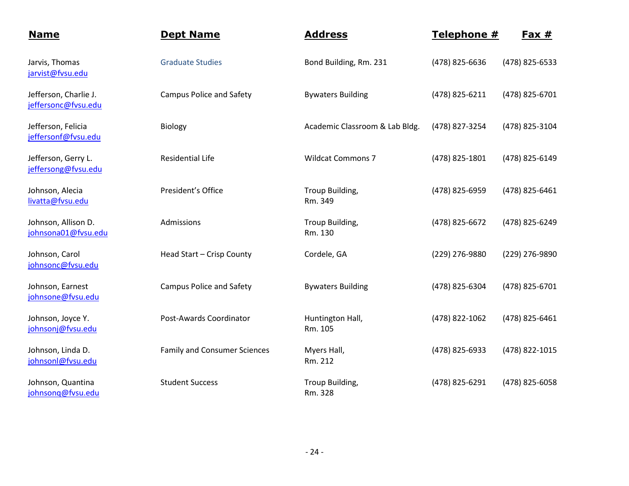| <b>Name</b>                                  | <b>Dept Name</b>                    | <b>Address</b>                 | Telephone #    | Fax $#$        |
|----------------------------------------------|-------------------------------------|--------------------------------|----------------|----------------|
| Jarvis, Thomas<br>jarvist@fvsu.edu           | <b>Graduate Studies</b>             | Bond Building, Rm. 231         | (478) 825-6636 | (478) 825-6533 |
| Jefferson, Charlie J.<br>jeffersonc@fvsu.edu | <b>Campus Police and Safety</b>     | <b>Bywaters Building</b>       | (478) 825-6211 | (478) 825-6701 |
| Jefferson, Felicia<br>jeffersonf@fvsu.edu    | <b>Biology</b>                      | Academic Classroom & Lab Bldg. | (478) 827-3254 | (478) 825-3104 |
| Jefferson, Gerry L.<br>jeffersong@fvsu.edu   | <b>Residential Life</b>             | <b>Wildcat Commons 7</b>       | (478) 825-1801 | (478) 825-6149 |
| Johnson, Alecia<br>livatta@fvsu.edu          | President's Office                  | Troup Building,<br>Rm. 349     | (478) 825-6959 | (478) 825-6461 |
| Johnson, Allison D.<br>johnsona01@fvsu.edu   | Admissions                          | Troup Building,<br>Rm. 130     | (478) 825-6672 | (478) 825-6249 |
| Johnson, Carol<br>johnsonc@fvsu.edu          | Head Start - Crisp County           | Cordele, GA                    | (229) 276-9880 | (229) 276-9890 |
| Johnson, Earnest<br>johnsone@fvsu.edu        | Campus Police and Safety            | <b>Bywaters Building</b>       | (478) 825-6304 | (478) 825-6701 |
| Johnson, Joyce Y.<br>johnsonj@fvsu.edu       | Post-Awards Coordinator             | Huntington Hall,<br>Rm. 105    | (478) 822-1062 | (478) 825-6461 |
| Johnson, Linda D.<br>johnsonl@fvsu.edu       | <b>Family and Consumer Sciences</b> | Myers Hall,<br>Rm. 212         | (478) 825-6933 | (478) 822-1015 |
| Johnson, Quantina<br>johnsonq@fvsu.edu       | <b>Student Success</b>              | Troup Building,<br>Rm. 328     | (478) 825-6291 | (478) 825-6058 |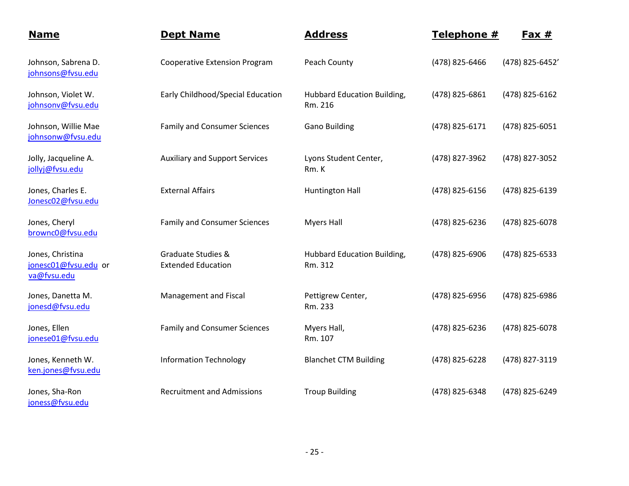| <u>Name</u>                                             | <b>Dept Name</b>                                           | <b>Address</b>                                | Telephone #    | Fax $#$         |
|---------------------------------------------------------|------------------------------------------------------------|-----------------------------------------------|----------------|-----------------|
| Johnson, Sabrena D.<br>johnsons@fvsu.edu                | <b>Cooperative Extension Program</b>                       | Peach County                                  | (478) 825-6466 | (478) 825-6452' |
| Johnson, Violet W.<br>johnsonv@fvsu.edu                 | Early Childhood/Special Education                          | Hubbard Education Building,<br>Rm. 216        | (478) 825-6861 | (478) 825-6162  |
| Johnson, Willie Mae<br>johnsonw@fvsu.edu                | <b>Family and Consumer Sciences</b>                        | <b>Gano Building</b>                          | (478) 825-6171 | (478) 825-6051  |
| Jolly, Jacqueline A.<br>jollyj@fvsu.edu                 | <b>Auxiliary and Support Services</b>                      | Lyons Student Center,<br>Rm. K                | (478) 827-3962 | (478) 827-3052  |
| Jones, Charles E.<br>Jonesc02@fvsu.edu                  | <b>External Affairs</b>                                    | Huntington Hall                               | (478) 825-6156 | (478) 825-6139  |
| Jones, Cheryl<br>brownc0@fvsu.edu                       | <b>Family and Consumer Sciences</b>                        | <b>Myers Hall</b>                             | (478) 825-6236 | (478) 825-6078  |
| Jones, Christina<br>jonesc01@fvsu.edu or<br>va@fvsu.edu | <b>Graduate Studies &amp;</b><br><b>Extended Education</b> | <b>Hubbard Education Building,</b><br>Rm. 312 | (478) 825-6906 | (478) 825-6533  |
| Jones, Danetta M.<br>jonesd@fvsu.edu                    | Management and Fiscal                                      | Pettigrew Center,<br>Rm. 233                  | (478) 825-6956 | (478) 825-6986  |
| Jones, Ellen<br>jonese01@fvsu.edu                       | <b>Family and Consumer Sciences</b>                        | Myers Hall,<br>Rm. 107                        | (478) 825-6236 | (478) 825-6078  |
| Jones, Kenneth W.<br>ken.jones@fvsu.edu                 | <b>Information Technology</b>                              | <b>Blanchet CTM Building</b>                  | (478) 825-6228 | (478) 827-3119  |
| Jones, Sha-Ron<br>joness@fvsu.edu                       | <b>Recruitment and Admissions</b>                          | <b>Troup Building</b>                         | (478) 825-6348 | (478) 825-6249  |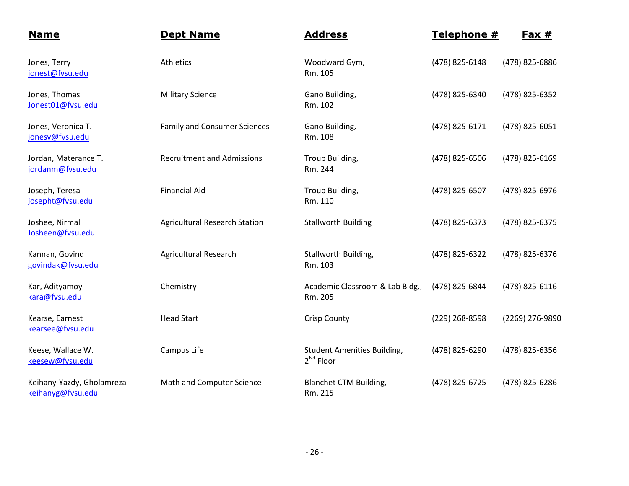| <b>Name</b>                                    | <b>Dept Name</b>                     | <b>Address</b>                                              | Telephone #    | Fax $#$         |
|------------------------------------------------|--------------------------------------|-------------------------------------------------------------|----------------|-----------------|
| Jones, Terry<br>jonest@fvsu.edu                | Athletics                            | Woodward Gym,<br>Rm. 105                                    | (478) 825-6148 | (478) 825-6886  |
| Jones, Thomas<br>Jonest01@fvsu.edu             | <b>Military Science</b>              | Gano Building,<br>Rm. 102                                   | (478) 825-6340 | (478) 825-6352  |
| Jones, Veronica T.<br>jonesv@fvsu.edu          | <b>Family and Consumer Sciences</b>  | Gano Building,<br>Rm. 108                                   | (478) 825-6171 | (478) 825-6051  |
| Jordan, Materance T.<br>jordanm@fvsu.edu       | <b>Recruitment and Admissions</b>    | Troup Building,<br>Rm. 244                                  | (478) 825-6506 | (478) 825-6169  |
| Joseph, Teresa<br>josepht@fvsu.edu             | <b>Financial Aid</b>                 | Troup Building,<br>Rm. 110                                  | (478) 825-6507 | (478) 825-6976  |
| Joshee, Nirmal<br>Josheen@fvsu.edu             | <b>Agricultural Research Station</b> | <b>Stallworth Building</b>                                  | (478) 825-6373 | (478) 825-6375  |
| Kannan, Govind<br>govindak@fvsu.edu            | <b>Agricultural Research</b>         | Stallworth Building,<br>Rm. 103                             | (478) 825-6322 | (478) 825-6376  |
| Kar, Adityamoy<br>kara@fvsu.edu                | Chemistry                            | Academic Classroom & Lab Bldg.,<br>Rm. 205                  | (478) 825-6844 | (478) 825-6116  |
| Kearse, Earnest<br>kearsee@fvsu.edu            | <b>Head Start</b>                    | <b>Crisp County</b>                                         | (229) 268-8598 | (2269) 276-9890 |
| Keese, Wallace W.<br>keesew@fvsu.edu           | Campus Life                          | <b>Student Amenities Building,</b><br>2 <sup>Nd</sup> Floor | (478) 825-6290 | (478) 825-6356  |
| Keihany-Yazdy, Gholamreza<br>keihanyg@fvsu.edu | Math and Computer Science            | <b>Blanchet CTM Building,</b><br>Rm. 215                    | (478) 825-6725 | (478) 825-6286  |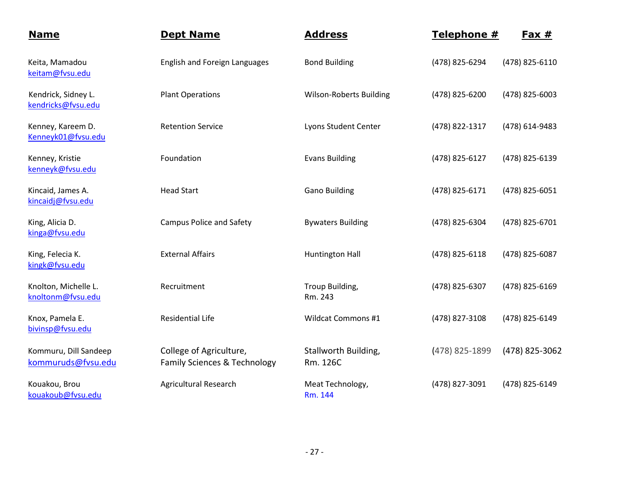| <b>Name</b>                                 | <b>Dept Name</b>                                        | <b>Address</b>                   | Telephone #    | Fax $#$        |
|---------------------------------------------|---------------------------------------------------------|----------------------------------|----------------|----------------|
| Keita, Mamadou<br>keitam@fvsu.edu           | <b>English and Foreign Languages</b>                    | <b>Bond Building</b>             | (478) 825-6294 | (478) 825-6110 |
| Kendrick, Sidney L.<br>kendricks@fvsu.edu   | <b>Plant Operations</b>                                 | <b>Wilson-Roberts Building</b>   | (478) 825-6200 | (478) 825-6003 |
| Kenney, Kareem D.<br>Kenneyk01@fvsu.edu     | <b>Retention Service</b>                                | Lyons Student Center             | (478) 822-1317 | (478) 614-9483 |
| Kenney, Kristie<br>kenneyk@fvsu.edu         | Foundation                                              | <b>Evans Building</b>            | (478) 825-6127 | (478) 825-6139 |
| Kincaid, James A.<br>kincaidj@fvsu.edu      | <b>Head Start</b>                                       | <b>Gano Building</b>             | (478) 825-6171 | (478) 825-6051 |
| King, Alicia D.<br>kinga@fvsu.edu           | <b>Campus Police and Safety</b>                         | <b>Bywaters Building</b>         | (478) 825-6304 | (478) 825-6701 |
| King, Felecia K.<br>kingk@fvsu.edu          | <b>External Affairs</b>                                 | <b>Huntington Hall</b>           | (478) 825-6118 | (478) 825-6087 |
| Knolton, Michelle L.<br>knoltonm@fvsu.edu   | Recruitment                                             | Troup Building,<br>Rm. 243       | (478) 825-6307 | (478) 825-6169 |
| Knox, Pamela E.<br>bivinsp@fvsu.edu         | <b>Residential Life</b>                                 | <b>Wildcat Commons #1</b>        | (478) 827-3108 | (478) 825-6149 |
| Kommuru, Dill Sandeep<br>kommuruds@fvsu.edu | College of Agriculture,<br>Family Sciences & Technology | Stallworth Building,<br>Rm. 126C | (478) 825-1899 | (478) 825-3062 |
| Kouakou, Brou<br>kouakoub@fvsu.edu          | <b>Agricultural Research</b>                            | Meat Technology,<br>Rm. 144      | (478) 827-3091 | (478) 825-6149 |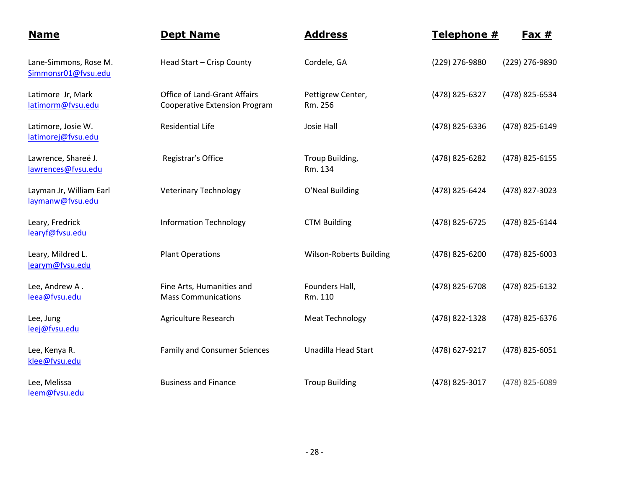| <b>Name</b>                                  | <b>Dept Name</b>                                                            | <b>Address</b>                 | Telephone #    | <u>Fax #</u>   |
|----------------------------------------------|-----------------------------------------------------------------------------|--------------------------------|----------------|----------------|
| Lane-Simmons, Rose M.<br>Simmonsr01@fvsu.edu | Head Start - Crisp County                                                   | Cordele, GA                    | (229) 276-9880 | (229) 276-9890 |
| Latimore Jr, Mark<br>latimorm@fvsu.edu       | <b>Office of Land-Grant Affairs</b><br><b>Cooperative Extension Program</b> | Pettigrew Center,<br>Rm. 256   | (478) 825-6327 | (478) 825-6534 |
| Latimore, Josie W.<br>latimorej@fvsu.edu     | <b>Residential Life</b>                                                     | Josie Hall                     | (478) 825-6336 | (478) 825-6149 |
| Lawrence, Shareé J.<br>lawrences@fvsu.edu    | Registrar's Office                                                          | Troup Building,<br>Rm. 134     | (478) 825-6282 | (478) 825-6155 |
| Layman Jr, William Earl<br>laymanw@fvsu.edu  | <b>Veterinary Technology</b>                                                | O'Neal Building                | (478) 825-6424 | (478) 827-3023 |
| Leary, Fredrick<br>learyf@fvsu.edu           | <b>Information Technology</b>                                               | <b>CTM Building</b>            | (478) 825-6725 | (478) 825-6144 |
| Leary, Mildred L.<br>learym@fvsu.edu         | <b>Plant Operations</b>                                                     | <b>Wilson-Roberts Building</b> | (478) 825-6200 | (478) 825-6003 |
| Lee, Andrew A.<br>leea@fvsu.edu              | Fine Arts, Humanities and<br><b>Mass Communications</b>                     | Founders Hall,<br>Rm. 110      | (478) 825-6708 | (478) 825-6132 |
| Lee, Jung<br>leej@fvsu.edu                   | Agriculture Research                                                        | <b>Meat Technology</b>         | (478) 822-1328 | (478) 825-6376 |
| Lee, Kenya R.<br>klee@fvsu.edu               | <b>Family and Consumer Sciences</b>                                         | <b>Unadilla Head Start</b>     | (478) 627-9217 | (478) 825-6051 |
| Lee, Melissa<br>leem@fvsu.edu                | <b>Business and Finance</b>                                                 | <b>Troup Building</b>          | (478) 825-3017 | (478) 825-6089 |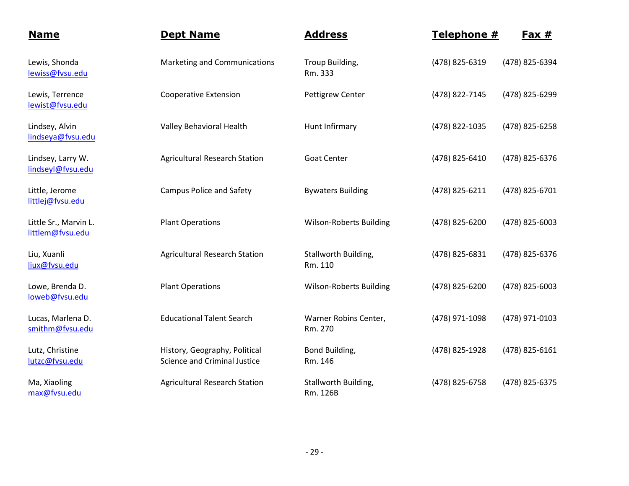| <b>Name</b>                               | <b>Dept Name</b>                                                     | <b>Address</b>                   | Telephone #    | <u>Fax #</u>   |
|-------------------------------------------|----------------------------------------------------------------------|----------------------------------|----------------|----------------|
| Lewis, Shonda<br>lewiss@fvsu.edu          | Marketing and Communications                                         | Troup Building,<br>Rm. 333       | (478) 825-6319 | (478) 825-6394 |
| Lewis, Terrence<br>lewist@fvsu.edu        | <b>Cooperative Extension</b>                                         | <b>Pettigrew Center</b>          | (478) 822-7145 | (478) 825-6299 |
| Lindsey, Alvin<br>lindseya@fvsu.edu       | Valley Behavioral Health                                             | Hunt Infirmary                   | (478) 822-1035 | (478) 825-6258 |
| Lindsey, Larry W.<br>lindseyl@fvsu.edu    | <b>Agricultural Research Station</b>                                 | <b>Goat Center</b>               | (478) 825-6410 | (478) 825-6376 |
| Little, Jerome<br>littlej@fvsu.edu        | <b>Campus Police and Safety</b>                                      | <b>Bywaters Building</b>         | (478) 825-6211 | (478) 825-6701 |
| Little Sr., Marvin L.<br>littlem@fvsu.edu | <b>Plant Operations</b>                                              | <b>Wilson-Roberts Building</b>   | (478) 825-6200 | (478) 825-6003 |
| Liu, Xuanli<br>liux@fvsu.edu              | <b>Agricultural Research Station</b>                                 | Stallworth Building,<br>Rm. 110  | (478) 825-6831 | (478) 825-6376 |
| Lowe, Brenda D.<br>loweb@fvsu.edu         | <b>Plant Operations</b>                                              | <b>Wilson-Roberts Building</b>   | (478) 825-6200 | (478) 825-6003 |
| Lucas, Marlena D.<br>smithm@fvsu.edu      | <b>Educational Talent Search</b>                                     | Warner Robins Center,<br>Rm. 270 | (478) 971-1098 | (478) 971-0103 |
| Lutz, Christine<br>lutzc@fvsu.edu         | History, Geography, Political<br><b>Science and Criminal Justice</b> | Bond Building,<br>Rm. 146        | (478) 825-1928 | (478) 825-6161 |
| Ma, Xiaoling<br>max@fvsu.edu              | <b>Agricultural Research Station</b>                                 | Stallworth Building,<br>Rm. 126B | (478) 825-6758 | (478) 825-6375 |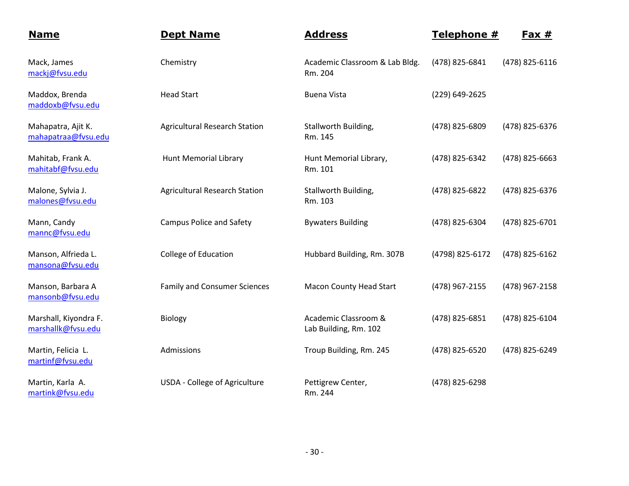| <b>Name</b>                                 | <b>Dept Name</b>                     | <b>Address</b>                                | Telephone #     | <u>Fax #</u>   |
|---------------------------------------------|--------------------------------------|-----------------------------------------------|-----------------|----------------|
| Mack, James<br>mackj@fvsu.edu               | Chemistry                            | Academic Classroom & Lab Bldg.<br>Rm. 204     | (478) 825-6841  | (478) 825-6116 |
| Maddox, Brenda<br>maddoxb@fvsu.edu          | <b>Head Start</b>                    | <b>Buena Vista</b>                            | (229) 649-2625  |                |
| Mahapatra, Ajit K.<br>mahapatraa@fvsu.edu   | <b>Agricultural Research Station</b> | Stallworth Building,<br>Rm. 145               | (478) 825-6809  | (478) 825-6376 |
| Mahitab, Frank A.<br>mahitabf@fvsu.edu      | <b>Hunt Memorial Library</b>         | Hunt Memorial Library,<br>Rm. 101             | (478) 825-6342  | (478) 825-6663 |
| Malone, Sylvia J.<br>malones@fvsu.edu       | <b>Agricultural Research Station</b> | Stallworth Building,<br>Rm. 103               | (478) 825-6822  | (478) 825-6376 |
| Mann, Candy<br>mannc@fvsu.edu               | <b>Campus Police and Safety</b>      | <b>Bywaters Building</b>                      | (478) 825-6304  | (478) 825-6701 |
| Manson, Alfrieda L.<br>mansona@fvsu.edu     | College of Education                 | Hubbard Building, Rm. 307B                    | (4798) 825-6172 | (478) 825-6162 |
| Manson, Barbara A<br>mansonb@fvsu.edu       | <b>Family and Consumer Sciences</b>  | <b>Macon County Head Start</b>                | (478) 967-2155  | (478) 967-2158 |
| Marshall, Kiyondra F.<br>marshallk@fvsu.edu | Biology                              | Academic Classroom &<br>Lab Building, Rm. 102 | (478) 825-6851  | (478) 825-6104 |
| Martin, Felicia L.<br>martinf@fvsu.edu      | Admissions                           | Troup Building, Rm. 245                       | (478) 825-6520  | (478) 825-6249 |
| Martin, Karla A.<br>martink@fvsu.edu        | USDA - College of Agriculture        | Pettigrew Center,<br>Rm. 244                  | (478) 825-6298  |                |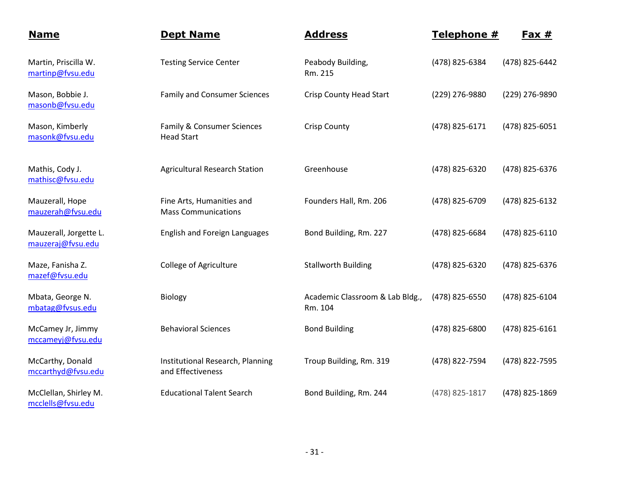| <b>Name</b>                                 | <b>Dept Name</b>                                        | <b>Address</b>                             | Telephone #    | <u>Fax #</u>   |
|---------------------------------------------|---------------------------------------------------------|--------------------------------------------|----------------|----------------|
| Martin, Priscilla W.<br>martinp@fvsu.edu    | <b>Testing Service Center</b>                           | Peabody Building,<br>Rm. 215               | (478) 825-6384 | (478) 825-6442 |
| Mason, Bobbie J.<br>masonb@fvsu.edu         | <b>Family and Consumer Sciences</b>                     | <b>Crisp County Head Start</b>             | (229) 276-9880 | (229) 276-9890 |
| Mason, Kimberly<br>masonk@fvsu.edu          | Family & Consumer Sciences<br><b>Head Start</b>         | <b>Crisp County</b>                        | (478) 825-6171 | (478) 825-6051 |
| Mathis, Cody J.<br>mathisc@fvsu.edu         | <b>Agricultural Research Station</b>                    | Greenhouse                                 | (478) 825-6320 | (478) 825-6376 |
| Mauzerall, Hope<br>mauzerah@fvsu.edu        | Fine Arts, Humanities and<br><b>Mass Communications</b> | Founders Hall, Rm. 206                     | (478) 825-6709 | (478) 825-6132 |
| Mauzerall, Jorgette L.<br>mauzeraj@fvsu.edu | <b>English and Foreign Languages</b>                    | Bond Building, Rm. 227                     | (478) 825-6684 | (478) 825-6110 |
| Maze, Fanisha Z.<br>mazef@fvsu.edu          | <b>College of Agriculture</b>                           | <b>Stallworth Building</b>                 | (478) 825-6320 | (478) 825-6376 |
| Mbata, George N.<br>mbatag@fvsus.edu        | Biology                                                 | Academic Classroom & Lab Bldg.,<br>Rm. 104 | (478) 825-6550 | (478) 825-6104 |
| McCamey Jr, Jimmy<br>mccameyj@fvsu.edu      | <b>Behavioral Sciences</b>                              | <b>Bond Building</b>                       | (478) 825-6800 | (478) 825-6161 |
| McCarthy, Donald<br>mccarthyd@fvsu.edu      | Institutional Research, Planning<br>and Effectiveness   | Troup Building, Rm. 319                    | (478) 822-7594 | (478) 822-7595 |
| McClellan, Shirley M.<br>mcclells@fvsu.edu  | <b>Educational Talent Search</b>                        | Bond Building, Rm. 244                     | (478) 825-1817 | (478) 825-1869 |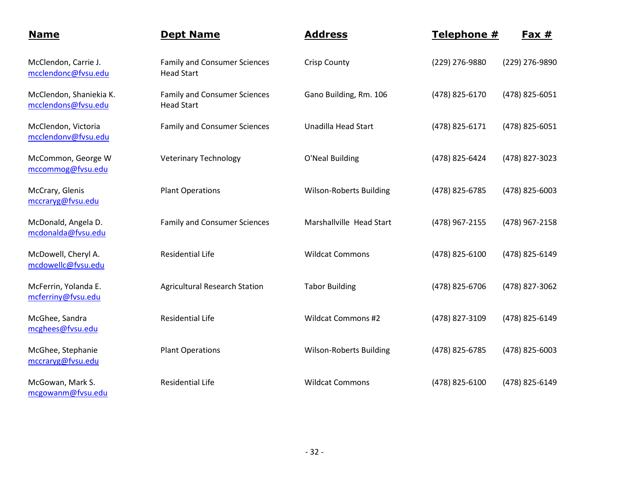| <b>Name</b>                                    | <b>Dept Name</b>                                         | <b>Address</b>                 | Telephone #    | $Fax #$        |
|------------------------------------------------|----------------------------------------------------------|--------------------------------|----------------|----------------|
| McClendon, Carrie J.<br>mcclendonc@fvsu.edu    | <b>Family and Consumer Sciences</b><br><b>Head Start</b> | <b>Crisp County</b>            | (229) 276-9880 | (229) 276-9890 |
| McClendon, Shaniekia K.<br>mcclendons@fvsu.edu | <b>Family and Consumer Sciences</b><br><b>Head Start</b> | Gano Building, Rm. 106         | (478) 825-6170 | (478) 825-6051 |
| McClendon, Victoria<br>mcclendonv@fvsu.edu     | <b>Family and Consumer Sciences</b>                      | <b>Unadilla Head Start</b>     | (478) 825-6171 | (478) 825-6051 |
| McCommon, George W<br>mccommog@fvsu.edu        | <b>Veterinary Technology</b>                             | O'Neal Building                | (478) 825-6424 | (478) 827-3023 |
| McCrary, Glenis<br>mccraryg@fvsu.edu           | <b>Plant Operations</b>                                  | <b>Wilson-Roberts Building</b> | (478) 825-6785 | (478) 825-6003 |
| McDonald, Angela D.<br>mcdonalda@fvsu.edu      | <b>Family and Consumer Sciences</b>                      | Marshallville Head Start       | (478) 967-2155 | (478) 967-2158 |
| McDowell, Cheryl A.<br>mcdowellc@fvsu.edu      | <b>Residential Life</b>                                  | <b>Wildcat Commons</b>         | (478) 825-6100 | (478) 825-6149 |
| McFerrin, Yolanda E.<br>mcferriny@fvsu.edu     | <b>Agricultural Research Station</b>                     | <b>Tabor Building</b>          | (478) 825-6706 | (478) 827-3062 |
| McGhee, Sandra<br>mcghees@fvsu.edu             | <b>Residential Life</b>                                  | <b>Wildcat Commons #2</b>      | (478) 827-3109 | (478) 825-6149 |
| McGhee, Stephanie<br>mccraryg@fvsu.edu         | <b>Plant Operations</b>                                  | <b>Wilson-Roberts Building</b> | (478) 825-6785 | (478) 825-6003 |
| McGowan, Mark S.<br>mcgowanm@fvsu.edu          | <b>Residential Life</b>                                  | <b>Wildcat Commons</b>         | (478) 825-6100 | (478) 825-6149 |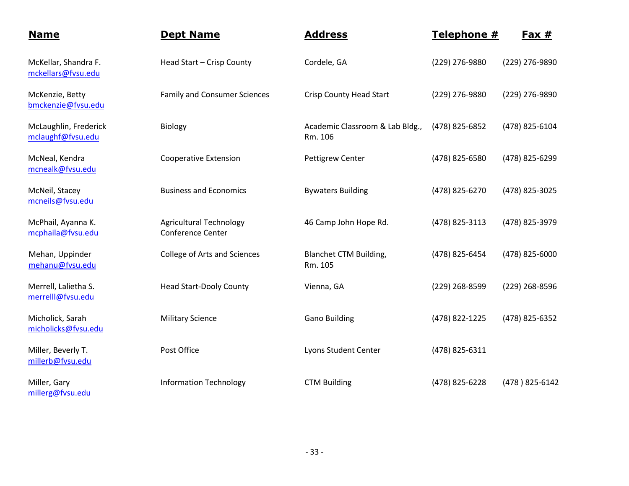| <b>Name</b>                                | <b>Dept Name</b>                                    | <b>Address</b>                             | Telephone #    | Fax $#$        |
|--------------------------------------------|-----------------------------------------------------|--------------------------------------------|----------------|----------------|
| McKellar, Shandra F.<br>mckellars@fvsu.edu | Head Start - Crisp County                           | Cordele, GA                                | (229) 276-9880 | (229) 276-9890 |
| McKenzie, Betty<br>bmckenzie@fvsu.edu      | <b>Family and Consumer Sciences</b>                 | <b>Crisp County Head Start</b>             | (229) 276-9880 | (229) 276-9890 |
| McLaughlin, Frederick<br>mclaughf@fvsu.edu | Biology                                             | Academic Classroom & Lab Bldg.,<br>Rm. 106 | (478) 825-6852 | (478) 825-6104 |
| McNeal, Kendra<br>mcnealk@fvsu.edu         | <b>Cooperative Extension</b>                        | Pettigrew Center                           | (478) 825-6580 | (478) 825-6299 |
| McNeil, Stacey<br>mcneils@fvsu.edu         | <b>Business and Economics</b>                       | <b>Bywaters Building</b>                   | (478) 825-6270 | (478) 825-3025 |
| McPhail, Ayanna K.<br>mcphaila@fvsu.edu    | <b>Agricultural Technology</b><br>Conference Center | 46 Camp John Hope Rd.                      | (478) 825-3113 | (478) 825-3979 |
| Mehan, Uppinder<br>mehanu@fvsu.edu         | College of Arts and Sciences                        | <b>Blanchet CTM Building,</b><br>Rm. 105   | (478) 825-6454 | (478) 825-6000 |
| Merrell, Lalietha S.<br>merrelll@fvsu.edu  | <b>Head Start-Dooly County</b>                      | Vienna, GA                                 | (229) 268-8599 | (229) 268-8596 |
| Micholick, Sarah<br>micholicks@fvsu.edu    | <b>Military Science</b>                             | <b>Gano Building</b>                       | (478) 822-1225 | (478) 825-6352 |
| Miller, Beverly T.<br>millerb@fvsu.edu     | Post Office                                         | Lyons Student Center                       | (478) 825-6311 |                |
| Miller, Gary<br>millerg@fvsu.edu           | <b>Information Technology</b>                       | <b>CTM Building</b>                        | (478) 825-6228 | (478) 825-6142 |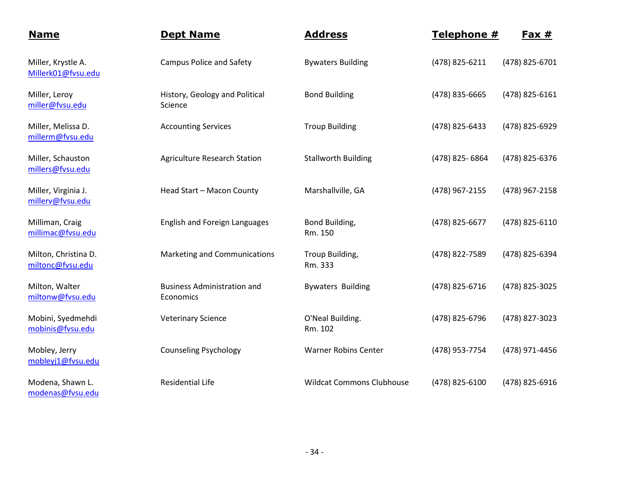| <b>Name</b>                              | <b>Dept Name</b>                                | <b>Address</b>                   | Telephone #    | <u>Fax #</u>   |
|------------------------------------------|-------------------------------------------------|----------------------------------|----------------|----------------|
| Miller, Krystle A.<br>Millerk01@fvsu.edu | <b>Campus Police and Safety</b>                 | <b>Bywaters Building</b>         | (478) 825-6211 | (478) 825-6701 |
| Miller, Leroy<br>miller@fvsu.edu         | History, Geology and Political<br>Science       | <b>Bond Building</b>             | (478) 835-6665 | (478) 825-6161 |
| Miller, Melissa D.<br>millerm@fvsu.edu   | <b>Accounting Services</b>                      | <b>Troup Building</b>            | (478) 825-6433 | (478) 825-6929 |
| Miller, Schauston<br>millers@fvsu.edu    | <b>Agriculture Research Station</b>             | <b>Stallworth Building</b>       | (478) 825-6864 | (478) 825-6376 |
| Miller, Virginia J.<br>millerv@fvsu.edu  | Head Start - Macon County                       | Marshallville, GA                | (478) 967-2155 | (478) 967-2158 |
| Milliman, Craig<br>millimac@fvsu.edu     | <b>English and Foreign Languages</b>            | Bond Building,<br>Rm. 150        | (478) 825-6677 | (478) 825-6110 |
| Milton, Christina D.<br>miltonc@fvsu.edu | Marketing and Communications                    | Troup Building,<br>Rm. 333       | (478) 822-7589 | (478) 825-6394 |
| Milton, Walter<br>miltonw@fvsu.edu       | <b>Business Administration and</b><br>Economics | <b>Bywaters Building</b>         | (478) 825-6716 | (478) 825-3025 |
| Mobini, Syedmehdi<br>mobinis@fvsu.edu    | <b>Veterinary Science</b>                       | O'Neal Building.<br>Rm. 102      | (478) 825-6796 | (478) 827-3023 |
| Mobley, Jerry<br>mobleyj1@fvsu.edu       | <b>Counseling Psychology</b>                    | <b>Warner Robins Center</b>      | (478) 953-7754 | (478) 971-4456 |
| Modena, Shawn L.<br>modenas@fvsu.edu     | <b>Residential Life</b>                         | <b>Wildcat Commons Clubhouse</b> | (478) 825-6100 | (478) 825-6916 |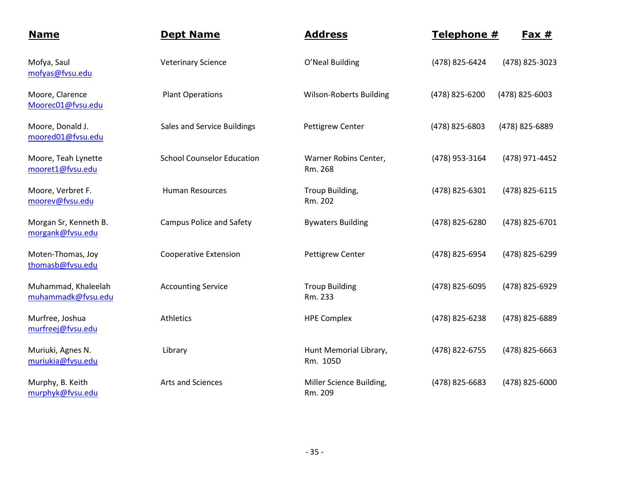| <b>Name</b>                               | <b>Dept Name</b>                  | <b>Address</b>                      | Telephone #    | $Fast #$       |
|-------------------------------------------|-----------------------------------|-------------------------------------|----------------|----------------|
| Mofya, Saul<br>mofyas@fvsu.edu            | <b>Veterinary Science</b>         | O'Neal Building                     | (478) 825-6424 | (478) 825-3023 |
| Moore, Clarence<br>Moorec01@fvsu.edu      | <b>Plant Operations</b>           | <b>Wilson-Roberts Building</b>      | (478) 825-6200 | (478) 825-6003 |
| Moore, Donald J.<br>moored01@fvsu.edu     | Sales and Service Buildings       | <b>Pettigrew Center</b>             | (478) 825-6803 | (478) 825-6889 |
| Moore, Teah Lynette<br>mooret1@fvsu.edu   | <b>School Counselor Education</b> | Warner Robins Center,<br>Rm. 268    | (478) 953-3164 | (478) 971-4452 |
| Moore, Verbret F.<br>moorev@fvsu.edu      | <b>Human Resources</b>            | Troup Building,<br>Rm. 202          | (478) 825-6301 | (478) 825-6115 |
| Morgan Sr, Kenneth B.<br>morgank@fvsu.edu | <b>Campus Police and Safety</b>   | <b>Bywaters Building</b>            | (478) 825-6280 | (478) 825-6701 |
| Moten-Thomas, Joy<br>thomasb@fvsu.edu     | <b>Cooperative Extension</b>      | <b>Pettigrew Center</b>             | (478) 825-6954 | (478) 825-6299 |
| Muhammad, Khaleelah<br>muhammadk@fvsu.edu | <b>Accounting Service</b>         | <b>Troup Building</b><br>Rm. 233    | (478) 825-6095 | (478) 825-6929 |
| Murfree, Joshua<br>murfreej@fvsu.edu      | Athletics                         | <b>HPE Complex</b>                  | (478) 825-6238 | (478) 825-6889 |
| Muriuki, Agnes N.<br>muriukia@fvsu.edu    | Library                           | Hunt Memorial Library,<br>Rm. 105D  | (478) 822-6755 | (478) 825-6663 |
| Murphy, B. Keith<br>murphyk@fvsu.edu      | Arts and Sciences                 | Miller Science Building,<br>Rm. 209 | (478) 825-6683 | (478) 825-6000 |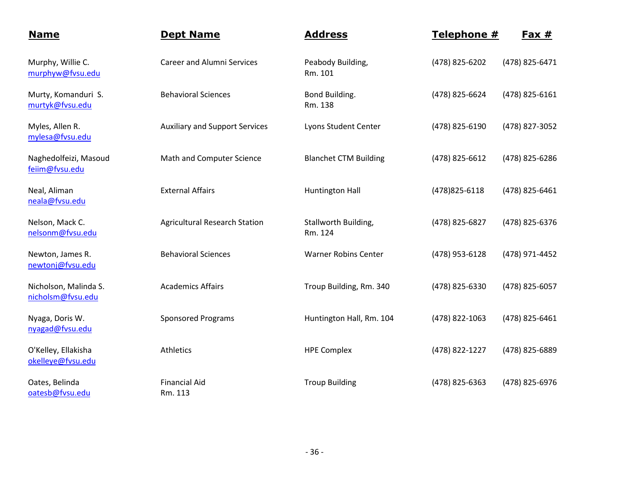| <b>Name</b>                                | <b>Dept Name</b>                      | <b>Address</b>                  | Telephone #    | <u>Fax #</u>   |
|--------------------------------------------|---------------------------------------|---------------------------------|----------------|----------------|
| Murphy, Willie C.<br>murphyw@fvsu.edu      | <b>Career and Alumni Services</b>     | Peabody Building,<br>Rm. 101    | (478) 825-6202 | (478) 825-6471 |
| Murty, Komanduri S.<br>murtyk@fvsu.edu     | <b>Behavioral Sciences</b>            | Bond Building.<br>Rm. 138       | (478) 825-6624 | (478) 825-6161 |
| Myles, Allen R.<br>mylesa@fvsu.edu         | <b>Auxiliary and Support Services</b> | Lyons Student Center            | (478) 825-6190 | (478) 827-3052 |
| Naghedolfeizi, Masoud<br>feiim@fvsu.edu    | Math and Computer Science             | <b>Blanchet CTM Building</b>    | (478) 825-6612 | (478) 825-6286 |
| Neal, Aliman<br>neala@fvsu.edu             | <b>External Affairs</b>               | <b>Huntington Hall</b>          | (478) 825-6118 | (478) 825-6461 |
| Nelson, Mack C.<br>nelsonm@fvsu.edu        | <b>Agricultural Research Station</b>  | Stallworth Building,<br>Rm. 124 | (478) 825-6827 | (478) 825-6376 |
| Newton, James R.<br>newtonj@fvsu.edu       | <b>Behavioral Sciences</b>            | <b>Warner Robins Center</b>     | (478) 953-6128 | (478) 971-4452 |
| Nicholson, Malinda S.<br>nicholsm@fvsu.edu | <b>Academics Affairs</b>              | Troup Building, Rm. 340         | (478) 825-6330 | (478) 825-6057 |
| Nyaga, Doris W.<br>nyagad@fvsu.edu         | <b>Sponsored Programs</b>             | Huntington Hall, Rm. 104        | (478) 822-1063 | (478) 825-6461 |
| O'Kelley, Ellakisha<br>okelleye@fvsu.edu   | Athletics                             | <b>HPE Complex</b>              | (478) 822-1227 | (478) 825-6889 |
| Oates, Belinda<br>oatesb@fvsu.edu          | <b>Financial Aid</b><br>Rm. 113       | <b>Troup Building</b>           | (478) 825-6363 | (478) 825-6976 |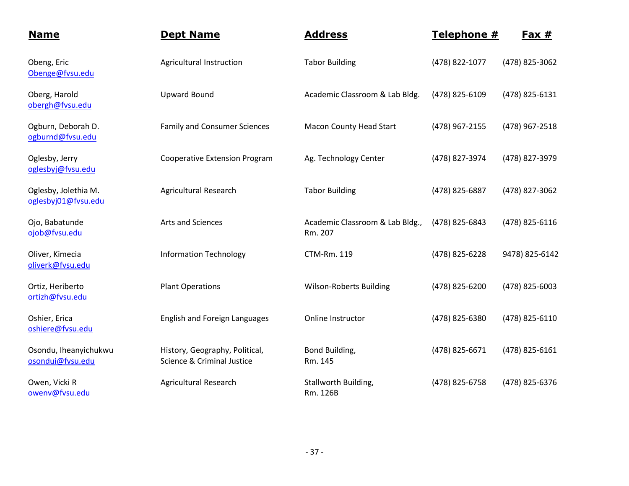| <b>Name</b>                                 | <b>Dept Name</b>                                             | <b>Address</b>                             | Telephone #    | Fax $#$        |
|---------------------------------------------|--------------------------------------------------------------|--------------------------------------------|----------------|----------------|
| Obeng, Eric<br>Obenge@fvsu.edu              | Agricultural Instruction                                     | <b>Tabor Building</b>                      | (478) 822-1077 | (478) 825-3062 |
| Oberg, Harold<br>obergh@fvsu.edu            | <b>Upward Bound</b>                                          | Academic Classroom & Lab Bldg.             | (478) 825-6109 | (478) 825-6131 |
| Ogburn, Deborah D.<br>ogburnd@fvsu.edu      | <b>Family and Consumer Sciences</b>                          | <b>Macon County Head Start</b>             | (478) 967-2155 | (478) 967-2518 |
| Oglesby, Jerry<br>oglesbyj@fvsu.edu         | <b>Cooperative Extension Program</b>                         | Ag. Technology Center                      | (478) 827-3974 | (478) 827-3979 |
| Oglesby, Jolethia M.<br>oglesbyj01@fvsu.edu | <b>Agricultural Research</b>                                 | <b>Tabor Building</b>                      | (478) 825-6887 | (478) 827-3062 |
| Ojo, Babatunde<br>ojob@fvsu.edu             | Arts and Sciences                                            | Academic Classroom & Lab Bldg.,<br>Rm. 207 | (478) 825-6843 | (478) 825-6116 |
| Oliver, Kimecia<br>oliverk@fvsu.edu         | <b>Information Technology</b>                                | <b>CTM-Rm. 119</b>                         | (478) 825-6228 | 9478) 825-6142 |
| Ortiz, Heriberto<br>ortizh@fvsu.edu         | <b>Plant Operations</b>                                      | <b>Wilson-Roberts Building</b>             | (478) 825-6200 | (478) 825-6003 |
| Oshier, Erica<br>oshiere@fvsu.edu           | <b>English and Foreign Languages</b>                         | Online Instructor                          | (478) 825-6380 | (478) 825-6110 |
| Osondu, Iheanyichukwu<br>osondui@fvsu.edu   | History, Geography, Political,<br>Science & Criminal Justice | Bond Building,<br>Rm. 145                  | (478) 825-6671 | (478) 825-6161 |
| Owen, Vicki R<br>owenv@fvsu.edu             | <b>Agricultural Research</b>                                 | Stallworth Building,<br>Rm. 126B           | (478) 825-6758 | (478) 825-6376 |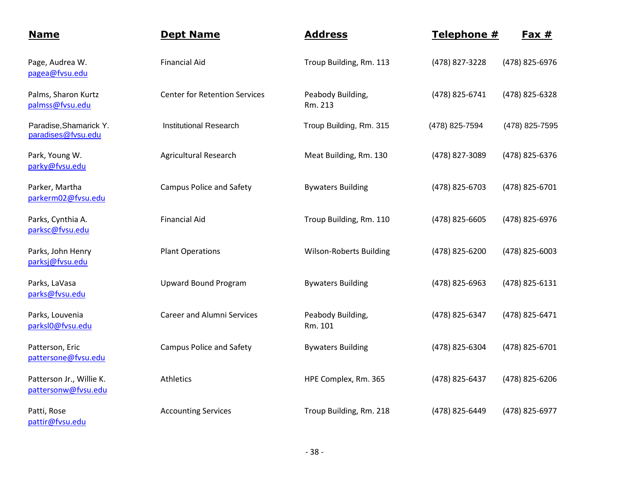| <b>Name</b>                                     | <b>Dept Name</b>                     | <b>Address</b>                 | Telephone #    | $Fax #$        |
|-------------------------------------------------|--------------------------------------|--------------------------------|----------------|----------------|
| Page, Audrea W.<br>pagea@fvsu.edu               | <b>Financial Aid</b>                 | Troup Building, Rm. 113        | (478) 827-3228 | (478) 825-6976 |
| Palms, Sharon Kurtz<br>palmss@fvsu.edu          | <b>Center for Retention Services</b> | Peabody Building,<br>Rm. 213   | (478) 825-6741 | (478) 825-6328 |
| Paradise, Shamarick Y.<br>paradises@fvsu.edu    | <b>Institutional Research</b>        | Troup Building, Rm. 315        | (478) 825-7594 | (478) 825-7595 |
| Park, Young W.<br>parky@fvsu.edu                | <b>Agricultural Research</b>         | Meat Building, Rm. 130         | (478) 827-3089 | (478) 825-6376 |
| Parker, Martha<br>parkerm02@fvsu.edu            | <b>Campus Police and Safety</b>      | <b>Bywaters Building</b>       | (478) 825-6703 | (478) 825-6701 |
| Parks, Cynthia A.<br>parksc@fvsu.edu            | <b>Financial Aid</b>                 | Troup Building, Rm. 110        | (478) 825-6605 | (478) 825-6976 |
| Parks, John Henry<br>parksj@fvsu.edu            | <b>Plant Operations</b>              | <b>Wilson-Roberts Building</b> | (478) 825-6200 | (478) 825-6003 |
| Parks, LaVasa<br>parks@fvsu.edu                 | <b>Upward Bound Program</b>          | <b>Bywaters Building</b>       | (478) 825-6963 | (478) 825-6131 |
| Parks, Louvenia<br>parksl0@fvsu.edu             | <b>Career and Alumni Services</b>    | Peabody Building,<br>Rm. 101   | (478) 825-6347 | (478) 825-6471 |
| Patterson, Eric<br>pattersone@fvsu.edu          | <b>Campus Police and Safety</b>      | <b>Bywaters Building</b>       | (478) 825-6304 | (478) 825-6701 |
| Patterson Jr., Willie K.<br>pattersonw@fvsu.edu | Athletics                            | HPE Complex, Rm. 365           | (478) 825-6437 | (478) 825-6206 |
| Patti, Rose<br>pattir@fvsu.edu                  | <b>Accounting Services</b>           | Troup Building, Rm. 218        | (478) 825-6449 | (478) 825-6977 |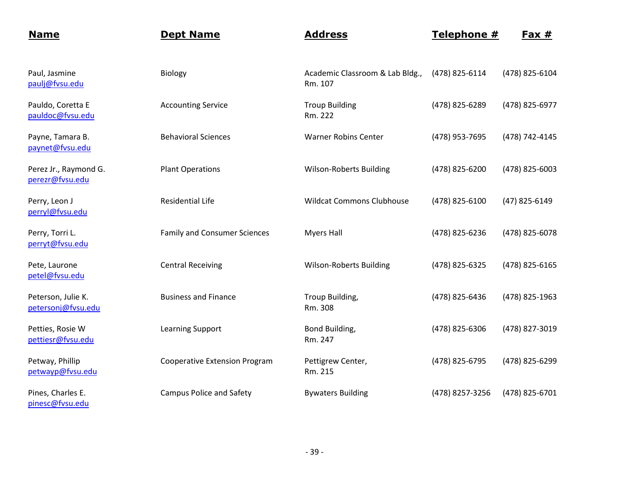| <b>Name</b>                              | <b>Dept Name</b>                     | <b>Address</b>                             | Telephone #     | <u>Fax #</u>   |
|------------------------------------------|--------------------------------------|--------------------------------------------|-----------------|----------------|
| Paul, Jasmine<br>paulj@fvsu.edu          | Biology                              | Academic Classroom & Lab Bldg.,<br>Rm. 107 | (478) 825-6114  | (478) 825-6104 |
| Pauldo, Coretta E<br>pauldoc@fvsu.edu    | <b>Accounting Service</b>            | <b>Troup Building</b><br>Rm. 222           | (478) 825-6289  | (478) 825-6977 |
| Payne, Tamara B.<br>paynet@fvsu.edu      | <b>Behavioral Sciences</b>           | <b>Warner Robins Center</b>                | (478) 953-7695  | (478) 742-4145 |
| Perez Jr., Raymond G.<br>perezr@fvsu.edu | <b>Plant Operations</b>              | <b>Wilson-Roberts Building</b>             | (478) 825-6200  | (478) 825-6003 |
| Perry, Leon J<br>perryl@fvsu.edu         | <b>Residential Life</b>              | <b>Wildcat Commons Clubhouse</b>           | (478) 825-6100  | (47) 825-6149  |
| Perry, Torri L.<br>perryt@fvsu.edu       | <b>Family and Consumer Sciences</b>  | <b>Myers Hall</b>                          | (478) 825-6236  | (478) 825-6078 |
| Pete, Laurone<br>petel@fvsu.edu          | <b>Central Receiving</b>             | <b>Wilson-Roberts Building</b>             | (478) 825-6325  | (478) 825-6165 |
| Peterson, Julie K.<br>petersonj@fvsu.edu | <b>Business and Finance</b>          | Troup Building,<br>Rm. 308                 | (478) 825-6436  | (478) 825-1963 |
| Petties, Rosie W<br>pettiesr@fvsu.edu    | <b>Learning Support</b>              | Bond Building,<br>Rm. 247                  | (478) 825-6306  | (478) 827-3019 |
| Petway, Phillip<br>petwayp@fvsu.edu      | <b>Cooperative Extension Program</b> | Pettigrew Center,<br>Rm. 215               | (478) 825-6795  | (478) 825-6299 |
| Pines, Charles E.<br>pinesc@fvsu.edu     | <b>Campus Police and Safety</b>      | <b>Bywaters Building</b>                   | (478) 8257-3256 | (478) 825-6701 |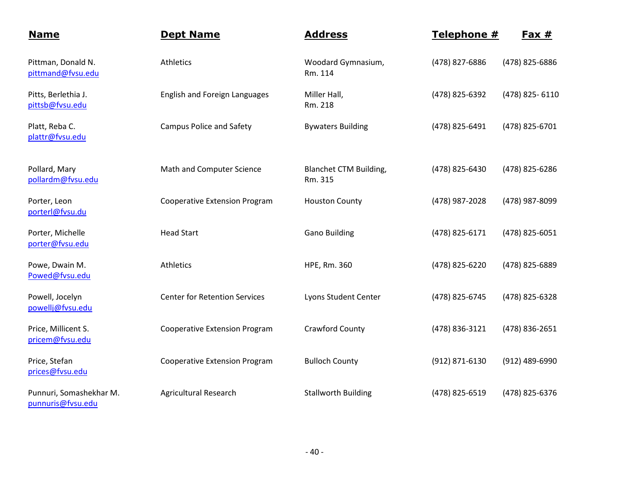| <b>Name</b>                                  | <b>Dept Name</b>                     | <b>Address</b>                           | Telephone #    | Fax $#$        |
|----------------------------------------------|--------------------------------------|------------------------------------------|----------------|----------------|
| Pittman, Donald N.<br>pittmand@fvsu.edu      | Athletics                            | Woodard Gymnasium,<br>Rm. 114            | (478) 827-6886 | (478) 825-6886 |
| Pitts, Berlethia J.<br>pittsb@fvsu.edu       | English and Foreign Languages        | Miller Hall,<br>Rm. 218                  | (478) 825-6392 | (478) 825-6110 |
| Platt, Reba C.<br>plattr@fvsu.edu            | <b>Campus Police and Safety</b>      | <b>Bywaters Building</b>                 | (478) 825-6491 | (478) 825-6701 |
| Pollard, Mary<br>pollardm@fvsu.edu           | Math and Computer Science            | <b>Blanchet CTM Building,</b><br>Rm. 315 | (478) 825-6430 | (478) 825-6286 |
| Porter, Leon<br>porterl@fvsu.du              | <b>Cooperative Extension Program</b> | <b>Houston County</b>                    | (478) 987-2028 | (478) 987-8099 |
| Porter, Michelle<br>porter@fvsu.edu          | <b>Head Start</b>                    | <b>Gano Building</b>                     | (478) 825-6171 | (478) 825-6051 |
| Powe, Dwain M.<br>Powed@fvsu.edu             | Athletics                            | HPE, Rm. 360                             | (478) 825-6220 | (478) 825-6889 |
| Powell, Jocelyn<br>powellj@fvsu.edu          | <b>Center for Retention Services</b> | Lyons Student Center                     | (478) 825-6745 | (478) 825-6328 |
| Price, Millicent S.<br>pricem@fvsu.edu       | <b>Cooperative Extension Program</b> | Crawford County                          | (478) 836-3121 | (478) 836-2651 |
| Price, Stefan<br>prices@fvsu.edu             | <b>Cooperative Extension Program</b> | <b>Bulloch County</b>                    | (912) 871-6130 | (912) 489-6990 |
| Punnuri, Somashekhar M.<br>punnuris@fvsu.edu | <b>Agricultural Research</b>         | <b>Stallworth Building</b>               | (478) 825-6519 | (478) 825-6376 |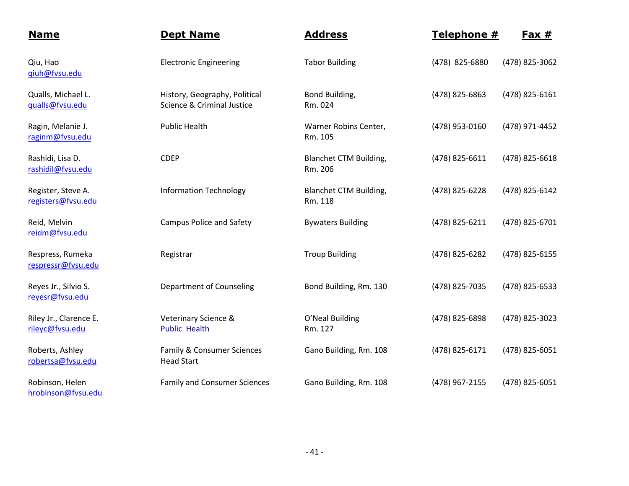| <b>Name</b>                               | <b>Dept Name</b>                                            | <b>Address</b>                           | Telephone #    | Fax $#$        |
|-------------------------------------------|-------------------------------------------------------------|------------------------------------------|----------------|----------------|
| Qiu, Hao<br>giuh@fvsu.edu                 | <b>Electronic Engineering</b>                               | <b>Tabor Building</b>                    | (478) 825-6880 | (478) 825-3062 |
| Qualls, Michael L.<br>gualls@fvsu.edu     | History, Geography, Political<br>Science & Criminal Justice | Bond Building,<br>Rm. 024                | (478) 825-6863 | (478) 825-6161 |
| Ragin, Melanie J.<br>raginm@fvsu.edu      | <b>Public Health</b>                                        | Warner Robins Center,<br>Rm. 105         | (478) 953-0160 | (478) 971-4452 |
| Rashidi, Lisa D.<br>rashidil@fvsu.edu     | <b>CDEP</b>                                                 | <b>Blanchet CTM Building,</b><br>Rm. 206 | (478) 825-6611 | (478) 825-6618 |
| Register, Steve A.<br>registers@fvsu.edu  | <b>Information Technology</b>                               | Blanchet CTM Building,<br>Rm. 118        | (478) 825-6228 | (478) 825-6142 |
| Reid, Melvin<br>reidm@fvsu.edu            | <b>Campus Police and Safety</b>                             | <b>Bywaters Building</b>                 | (478) 825-6211 | (478) 825-6701 |
| Respress, Rumeka<br>respressr@fvsu.edu    | Registrar                                                   | <b>Troup Building</b>                    | (478) 825-6282 | (478) 825-6155 |
| Reyes Jr., Silvio S.<br>reyesr@fvsu.edu   | <b>Department of Counseling</b>                             | Bond Building, Rm. 130                   | (478) 825-7035 | (478) 825-6533 |
| Riley Jr., Clarence E.<br>rileyc@fvsu.edu | Veterinary Science &<br><b>Public Health</b>                | O'Neal Building<br>Rm. 127               | (478) 825-6898 | (478) 825-3023 |
| Roberts, Ashley<br>robertsa@fvsu.edu      | Family & Consumer Sciences<br><b>Head Start</b>             | Gano Building, Rm. 108                   | (478) 825-6171 | (478) 825-6051 |
| Robinson, Helen<br>hrobinson@fvsu.edu     | <b>Family and Consumer Sciences</b>                         | Gano Building, Rm. 108                   | (478) 967-2155 | (478) 825-6051 |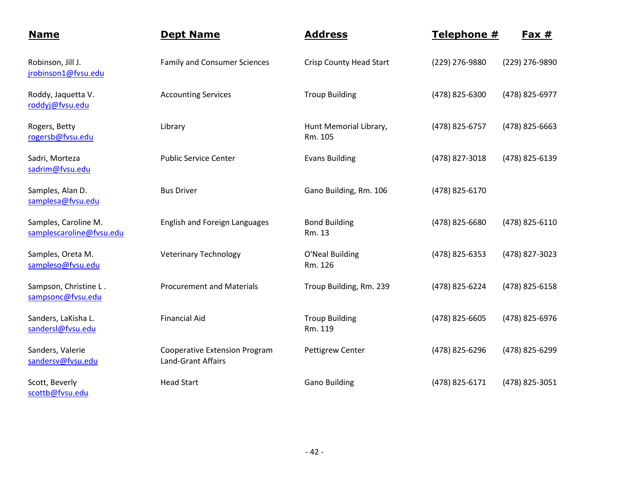| <b>Name</b>                                      | <b>Dept Name</b>                                                  | <b>Address</b>                    | Telephone #    | Fax $#$        |
|--------------------------------------------------|-------------------------------------------------------------------|-----------------------------------|----------------|----------------|
| Robinson, Jill J.<br>jrobinson1@fvsu.edu         | <b>Family and Consumer Sciences</b>                               | <b>Crisp County Head Start</b>    | (229) 276-9880 | (229) 276-9890 |
| Roddy, Jaquetta V.<br>roddyj@fvsu.edu            | <b>Accounting Services</b>                                        | <b>Troup Building</b>             | (478) 825-6300 | (478) 825-6977 |
| Rogers, Betty<br>rogersb@fvsu.edu                | Library                                                           | Hunt Memorial Library,<br>Rm. 105 | (478) 825-6757 | (478) 825-6663 |
| Sadri, Morteza<br>sadrim@fvsu.edu                | <b>Public Service Center</b>                                      | <b>Evans Building</b>             | (478) 827-3018 | (478) 825-6139 |
| Samples, Alan D.<br>samplesa@fvsu.edu            | <b>Bus Driver</b>                                                 | Gano Building, Rm. 106            | (478) 825-6170 |                |
| Samples, Caroline M.<br>samplescaroline@fvsu.edu | <b>English and Foreign Languages</b>                              | <b>Bond Building</b><br>Rm. 13    | (478) 825-6680 | (478) 825-6110 |
| Samples, Oreta M.<br>sampleso@fvsu.edu           | <b>Veterinary Technology</b>                                      | O'Neal Building<br>Rm. 126        | (478) 825-6353 | (478) 827-3023 |
| Sampson, Christine L.<br>sampsonc@fvsu.edu       | <b>Procurement and Materials</b>                                  | Troup Building, Rm. 239           | (478) 825-6224 | (478) 825-6158 |
| Sanders, LaKisha L.<br>sandersl@fvsu.edu         | <b>Financial Aid</b>                                              | <b>Troup Building</b><br>Rm. 119  | (478) 825-6605 | (478) 825-6976 |
| Sanders, Valerie<br>sandersv@fvsu.edu            | <b>Cooperative Extension Program</b><br><b>Land-Grant Affairs</b> | Pettigrew Center                  | (478) 825-6296 | (478) 825-6299 |
| Scott, Beverly<br>scottb@fvsu.edu                | <b>Head Start</b>                                                 | <b>Gano Building</b>              | (478) 825-6171 | (478) 825-3051 |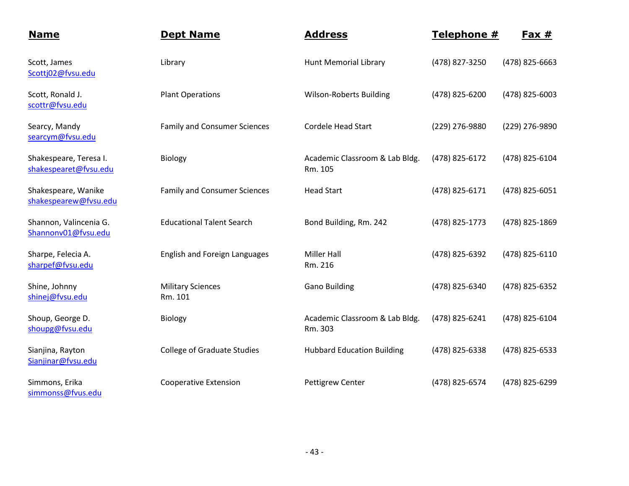| <b>Name</b>                                     | <b>Dept Name</b>                    | <b>Address</b>                            | Telephone #    | <u>Fax #</u>   |
|-------------------------------------------------|-------------------------------------|-------------------------------------------|----------------|----------------|
| Scott, James<br>Scottj02@fvsu.edu               | Library                             | <b>Hunt Memorial Library</b>              | (478) 827-3250 | (478) 825-6663 |
| Scott, Ronald J.<br>scottr@fvsu.edu             | <b>Plant Operations</b>             | <b>Wilson-Roberts Building</b>            | (478) 825-6200 | (478) 825-6003 |
| Searcy, Mandy<br>searcym@fvsu.edu               | <b>Family and Consumer Sciences</b> | <b>Cordele Head Start</b>                 | (229) 276-9880 | (229) 276-9890 |
| Shakespeare, Teresa I.<br>shakespearet@fvsu.edu | Biology                             | Academic Classroom & Lab Bldg.<br>Rm. 105 | (478) 825-6172 | (478) 825-6104 |
| Shakespeare, Wanike<br>shakespearew@fvsu.edu    | <b>Family and Consumer Sciences</b> | <b>Head Start</b>                         | (478) 825-6171 | (478) 825-6051 |
| Shannon, Valincenia G.<br>Shannonv01@fvsu.edu   | <b>Educational Talent Search</b>    | Bond Building, Rm. 242                    | (478) 825-1773 | (478) 825-1869 |
| Sharpe, Felecia A.<br>sharpef@fvsu.edu          | English and Foreign Languages       | <b>Miller Hall</b><br>Rm. 216             | (478) 825-6392 | (478) 825-6110 |
| Shine, Johnny<br>shinej@fvsu.edu                | <b>Military Sciences</b><br>Rm. 101 | <b>Gano Building</b>                      | (478) 825-6340 | (478) 825-6352 |
| Shoup, George D.<br>shoupg@fvsu.edu             | Biology                             | Academic Classroom & Lab Bldg.<br>Rm. 303 | (478) 825-6241 | (478) 825-6104 |
| Sianjina, Rayton<br>Sianjinar@fvsu.edu          | <b>College of Graduate Studies</b>  | <b>Hubbard Education Building</b>         | (478) 825-6338 | (478) 825-6533 |
| Simmons, Erika<br>simmonss@fvus.edu             | <b>Cooperative Extension</b>        | <b>Pettigrew Center</b>                   | (478) 825-6574 | (478) 825-6299 |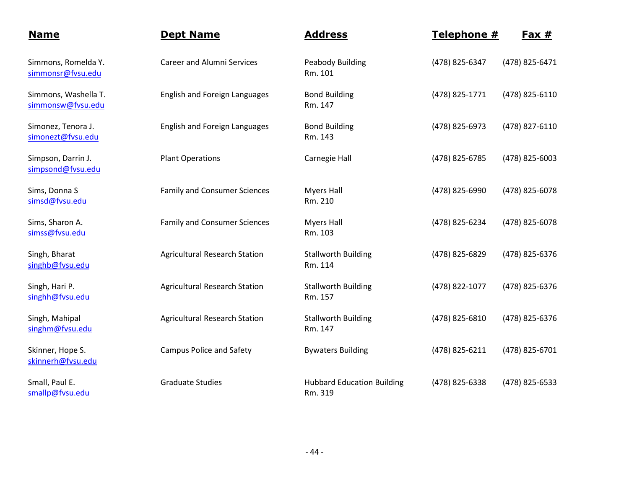| <b>Name</b>                               | <b>Dept Name</b>                     | <b>Address</b>                               | Telephone #    | Fax #          |
|-------------------------------------------|--------------------------------------|----------------------------------------------|----------------|----------------|
| Simmons, Romelda Y.<br>simmonsr@fvsu.edu  | <b>Career and Alumni Services</b>    | <b>Peabody Building</b><br>Rm. 101           | (478) 825-6347 | (478) 825-6471 |
| Simmons, Washella T.<br>simmonsw@fvsu.edu | <b>English and Foreign Languages</b> | <b>Bond Building</b><br>Rm. 147              | (478) 825-1771 | (478) 825-6110 |
| Simonez, Tenora J.<br>simonezt@fvsu.edu   | <b>English and Foreign Languages</b> | <b>Bond Building</b><br>Rm. 143              | (478) 825-6973 | (478) 827-6110 |
| Simpson, Darrin J.<br>simpsond@fvsu.edu   | <b>Plant Operations</b>              | Carnegie Hall                                | (478) 825-6785 | (478) 825-6003 |
| Sims, Donna S<br>simsd@fvsu.edu           | <b>Family and Consumer Sciences</b>  | <b>Myers Hall</b><br>Rm. 210                 | (478) 825-6990 | (478) 825-6078 |
| Sims, Sharon A.<br>simss@fvsu.edu         | <b>Family and Consumer Sciences</b>  | <b>Myers Hall</b><br>Rm. 103                 | (478) 825-6234 | (478) 825-6078 |
| Singh, Bharat<br>singhb@fvsu.edu          | <b>Agricultural Research Station</b> | <b>Stallworth Building</b><br>Rm. 114        | (478) 825-6829 | (478) 825-6376 |
| Singh, Hari P.<br>singhh@fvsu.edu         | <b>Agricultural Research Station</b> | <b>Stallworth Building</b><br>Rm. 157        | (478) 822-1077 | (478) 825-6376 |
| Singh, Mahipal<br>singhm@fvsu.edu         | <b>Agricultural Research Station</b> | <b>Stallworth Building</b><br>Rm. 147        | (478) 825-6810 | (478) 825-6376 |
| Skinner, Hope S.<br>skinnerh@fvsu.edu     | <b>Campus Police and Safety</b>      | <b>Bywaters Building</b>                     | (478) 825-6211 | (478) 825-6701 |
| Small, Paul E.<br>smallp@fvsu.edu         | <b>Graduate Studies</b>              | <b>Hubbard Education Building</b><br>Rm. 319 | (478) 825-6338 | (478) 825-6533 |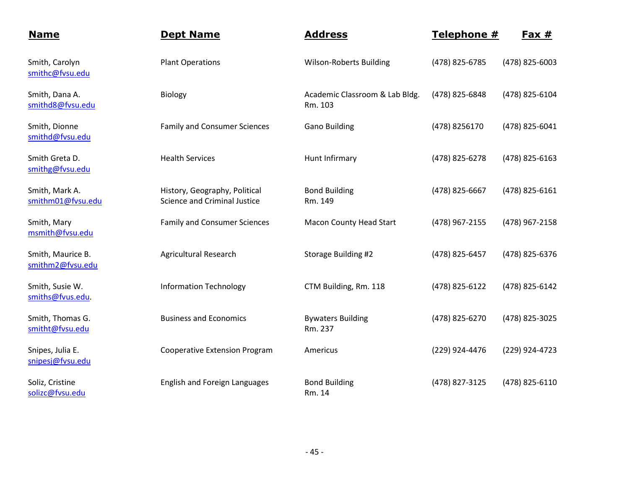| <b>Name</b>                           | <b>Dept Name</b>                                                     | <b>Address</b>                            | Telephone #    | Fax $#$        |
|---------------------------------------|----------------------------------------------------------------------|-------------------------------------------|----------------|----------------|
| Smith, Carolyn<br>smithc@fvsu.edu     | <b>Plant Operations</b>                                              | <b>Wilson-Roberts Building</b>            | (478) 825-6785 | (478) 825-6003 |
| Smith, Dana A.<br>smithd8@fvsu.edu    | <b>Biology</b>                                                       | Academic Classroom & Lab Bldg.<br>Rm. 103 | (478) 825-6848 | (478) 825-6104 |
| Smith, Dionne<br>smithd@fvsu.edu      | <b>Family and Consumer Sciences</b>                                  | <b>Gano Building</b>                      | (478) 8256170  | (478) 825-6041 |
| Smith Greta D.<br>smithg@fvsu.edu     | <b>Health Services</b>                                               | Hunt Infirmary                            | (478) 825-6278 | (478) 825-6163 |
| Smith, Mark A.<br>smithm01@fvsu.edu   | History, Geography, Political<br><b>Science and Criminal Justice</b> | <b>Bond Building</b><br>Rm. 149           | (478) 825-6667 | (478) 825-6161 |
| Smith, Mary<br>msmith@fvsu.edu        | <b>Family and Consumer Sciences</b>                                  | <b>Macon County Head Start</b>            | (478) 967-2155 | (478) 967-2158 |
| Smith, Maurice B.<br>smithm2@fvsu.edu | <b>Agricultural Research</b>                                         | Storage Building #2                       | (478) 825-6457 | (478) 825-6376 |
| Smith, Susie W.<br>smiths@fvus.edu.   | <b>Information Technology</b>                                        | CTM Building, Rm. 118                     | (478) 825-6122 | (478) 825-6142 |
| Smith, Thomas G.<br>smitht@fvsu.edu   | <b>Business and Economics</b>                                        | <b>Bywaters Building</b><br>Rm. 237       | (478) 825-6270 | (478) 825-3025 |
| Snipes, Julia E.<br>snipesj@fvsu.edu  | <b>Cooperative Extension Program</b>                                 | Americus                                  | (229) 924-4476 | (229) 924-4723 |
| Soliz, Cristine<br>solizc@fvsu.edu    | English and Foreign Languages                                        | <b>Bond Building</b><br>Rm. 14            | (478) 827-3125 | (478) 825-6110 |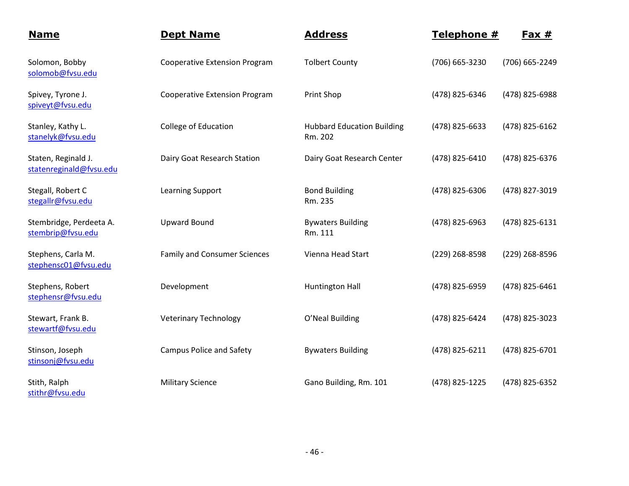| <b>Name</b>                                    | <b>Dept Name</b>                     | <b>Address</b>                               | Telephone #    | $Fast #$       |
|------------------------------------------------|--------------------------------------|----------------------------------------------|----------------|----------------|
| Solomon, Bobby<br>solomob@fvsu.edu             | <b>Cooperative Extension Program</b> | <b>Tolbert County</b>                        | (706) 665-3230 | (706) 665-2249 |
| Spivey, Tyrone J.<br>spiveyt@fvsu.edu          | <b>Cooperative Extension Program</b> | Print Shop                                   | (478) 825-6346 | (478) 825-6988 |
| Stanley, Kathy L.<br>stanelyk@fvsu.edu         | College of Education                 | <b>Hubbard Education Building</b><br>Rm. 202 | (478) 825-6633 | (478) 825-6162 |
| Staten, Reginald J.<br>statenreginald@fvsu.edu | Dairy Goat Research Station          | Dairy Goat Research Center                   | (478) 825-6410 | (478) 825-6376 |
| Stegall, Robert C<br>stegallr@fvsu.edu         | <b>Learning Support</b>              | <b>Bond Building</b><br>Rm. 235              | (478) 825-6306 | (478) 827-3019 |
| Stembridge, Perdeeta A.<br>stembrip@fvsu.edu   | <b>Upward Bound</b>                  | <b>Bywaters Building</b><br>Rm. 111          | (478) 825-6963 | (478) 825-6131 |
| Stephens, Carla M.<br>stephensc01@fvsu.edu     | <b>Family and Consumer Sciences</b>  | Vienna Head Start                            | (229) 268-8598 | (229) 268-8596 |
| Stephens, Robert<br>stephensr@fvsu.edu         | Development                          | <b>Huntington Hall</b>                       | (478) 825-6959 | (478) 825-6461 |
| Stewart, Frank B.<br>stewartf@fvsu.edu         | <b>Veterinary Technology</b>         | O'Neal Building                              | (478) 825-6424 | (478) 825-3023 |
| Stinson, Joseph<br>stinsonj@fvsu.edu           | <b>Campus Police and Safety</b>      | <b>Bywaters Building</b>                     | (478) 825-6211 | (478) 825-6701 |
| Stith, Ralph<br>stithr@fvsu.edu                | <b>Military Science</b>              | Gano Building, Rm. 101                       | (478) 825-1225 | (478) 825-6352 |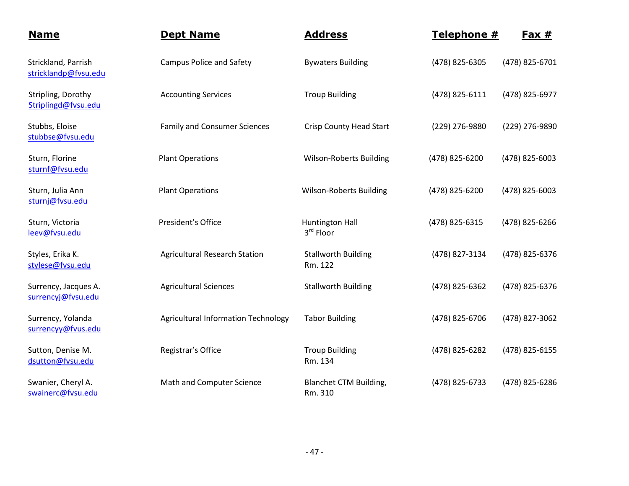| <b>Name</b>                                 | <b>Dept Name</b>                           | <b>Address</b>                        | Telephone #    | <u>Fax #</u>   |
|---------------------------------------------|--------------------------------------------|---------------------------------------|----------------|----------------|
| Strickland, Parrish<br>stricklandp@fvsu.edu | <b>Campus Police and Safety</b>            | <b>Bywaters Building</b>              | (478) 825-6305 | (478) 825-6701 |
| Stripling, Dorothy<br>Striplingd@fvsu.edu   | <b>Accounting Services</b>                 | <b>Troup Building</b>                 | (478) 825-6111 | (478) 825-6977 |
| Stubbs, Eloise<br>stubbse@fvsu.edu          | <b>Family and Consumer Sciences</b>        | Crisp County Head Start               | (229) 276-9880 | (229) 276-9890 |
| Sturn, Florine<br>sturnf@fvsu.edu           | <b>Plant Operations</b>                    | Wilson-Roberts Building               | (478) 825-6200 | (478) 825-6003 |
| Sturn, Julia Ann<br>sturnj@fvsu.edu         | <b>Plant Operations</b>                    | <b>Wilson-Roberts Building</b>        | (478) 825-6200 | (478) 825-6003 |
| Sturn, Victoria<br>leev@fvsu.edu            | President's Office                         | <b>Huntington Hall</b><br>3rd Floor   | (478) 825-6315 | (478) 825-6266 |
| Styles, Erika K.<br>stylese@fvsu.edu        | <b>Agricultural Research Station</b>       | <b>Stallworth Building</b><br>Rm. 122 | (478) 827-3134 | (478) 825-6376 |
| Surrency, Jacques A.<br>surrencyj@fvsu.edu  | <b>Agricultural Sciences</b>               | <b>Stallworth Building</b>            | (478) 825-6362 | (478) 825-6376 |
| Surrency, Yolanda<br>surrencyy@fvus.edu     | <b>Agricultural Information Technology</b> | <b>Tabor Building</b>                 | (478) 825-6706 | (478) 827-3062 |
| Sutton, Denise M.<br>dsutton@fvsu.edu       | Registrar's Office                         | <b>Troup Building</b><br>Rm. 134      | (478) 825-6282 | (478) 825-6155 |
| Swanier, Cheryl A.<br>swainerc@fvsu.edu     | Math and Computer Science                  | Blanchet CTM Building,<br>Rm. 310     | (478) 825-6733 | (478) 825-6286 |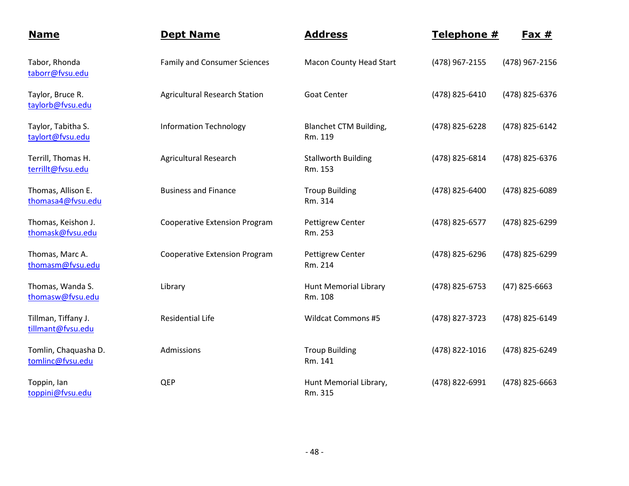| <b>Name</b>                              | <b>Dept Name</b>                     | <b>Address</b>                          | Telephone #    | Fax $#$         |
|------------------------------------------|--------------------------------------|-----------------------------------------|----------------|-----------------|
| Tabor, Rhonda<br>taborr@fvsu.edu         | <b>Family and Consumer Sciences</b>  | <b>Macon County Head Start</b>          | (478) 967-2155 | (478) 967-2156  |
| Taylor, Bruce R.<br>taylorb@fvsu.edu     | <b>Agricultural Research Station</b> | <b>Goat Center</b>                      | (478) 825-6410 | (478) 825-6376  |
| Taylor, Tabitha S.<br>taylort@fvsu.edu   | <b>Information Technology</b>        | Blanchet CTM Building,<br>Rm. 119       | (478) 825-6228 | (478) 825-6142  |
| Terrill, Thomas H.<br>terrillt@fvsu.edu  | <b>Agricultural Research</b>         | <b>Stallworth Building</b><br>Rm. 153   | (478) 825-6814 | (478) 825-6376  |
| Thomas, Allison E.<br>thomasa4@fvsu.edu  | <b>Business and Finance</b>          | <b>Troup Building</b><br>Rm. 314        | (478) 825-6400 | (478) 825-6089  |
| Thomas, Keishon J.<br>thomask@fvsu.edu   | <b>Cooperative Extension Program</b> | <b>Pettigrew Center</b><br>Rm. 253      | (478) 825-6577 | (478) 825-6299  |
| Thomas, Marc A.<br>thomasm@fvsu.edu      | <b>Cooperative Extension Program</b> | <b>Pettigrew Center</b><br>Rm. 214      | (478) 825-6296 | (478) 825-6299  |
| Thomas, Wanda S.<br>thomasw@fvsu.edu     | Library                              | <b>Hunt Memorial Library</b><br>Rm. 108 | (478) 825-6753 | $(47)$ 825-6663 |
| Tillman, Tiffany J.<br>tillmant@fvsu.edu | <b>Residential Life</b>              | <b>Wildcat Commons #5</b>               | (478) 827-3723 | (478) 825-6149  |
| Tomlin, Chaquasha D.<br>tomlinc@fvsu.edu | Admissions                           | <b>Troup Building</b><br>Rm. 141        | (478) 822-1016 | (478) 825-6249  |
| Toppin, Ian<br>toppini@fvsu.edu          | QEP                                  | Hunt Memorial Library,<br>Rm. 315       | (478) 822-6991 | (478) 825-6663  |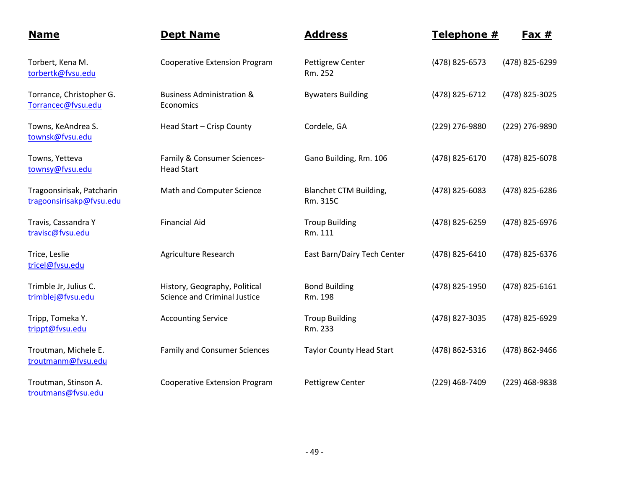| <b>Name</b>                                           | <b>Dept Name</b>                                                     | <b>Address</b>                            | Telephone #    | $Fax #$        |
|-------------------------------------------------------|----------------------------------------------------------------------|-------------------------------------------|----------------|----------------|
| Torbert, Kena M.<br>torbertk@fvsu.edu                 | <b>Cooperative Extension Program</b>                                 | <b>Pettigrew Center</b><br>Rm. 252        | (478) 825-6573 | (478) 825-6299 |
| Torrance, Christopher G.<br>Torrancec@fvsu.edu        | <b>Business Administration &amp;</b><br>Economics                    | <b>Bywaters Building</b>                  | (478) 825-6712 | (478) 825-3025 |
| Towns, KeAndrea S.<br>townsk@fvsu.edu                 | Head Start - Crisp County                                            | Cordele, GA                               | (229) 276-9880 | (229) 276-9890 |
| Towns, Yetteva<br>townsy@fvsu.edu                     | Family & Consumer Sciences-<br><b>Head Start</b>                     | Gano Building, Rm. 106                    | (478) 825-6170 | (478) 825-6078 |
| Tragoonsirisak, Patcharin<br>tragoonsirisakp@fvsu.edu | Math and Computer Science                                            | <b>Blanchet CTM Building,</b><br>Rm. 315C | (478) 825-6083 | (478) 825-6286 |
| Travis, Cassandra Y<br>travisc@fvsu.edu               | <b>Financial Aid</b>                                                 | <b>Troup Building</b><br>Rm. 111          | (478) 825-6259 | (478) 825-6976 |
| Trice, Leslie<br>tricel@fvsu.edu                      | Agriculture Research                                                 | East Barn/Dairy Tech Center               | (478) 825-6410 | (478) 825-6376 |
| Trimble Jr, Julius C.<br>trimblej@fvsu.edu            | History, Geography, Political<br><b>Science and Criminal Justice</b> | <b>Bond Building</b><br>Rm. 198           | (478) 825-1950 | (478) 825-6161 |
| Tripp, Tomeka Y.<br>trippt@fvsu.edu                   | <b>Accounting Service</b>                                            | <b>Troup Building</b><br>Rm. 233          | (478) 827-3035 | (478) 825-6929 |
| Troutman, Michele E.<br>troutmanm@fvsu.edu            | <b>Family and Consumer Sciences</b>                                  | <b>Taylor County Head Start</b>           | (478) 862-5316 | (478) 862-9466 |
| Troutman, Stinson A.<br>troutmans@fvsu.edu            | <b>Cooperative Extension Program</b>                                 | <b>Pettigrew Center</b>                   | (229) 468-7409 | (229) 468-9838 |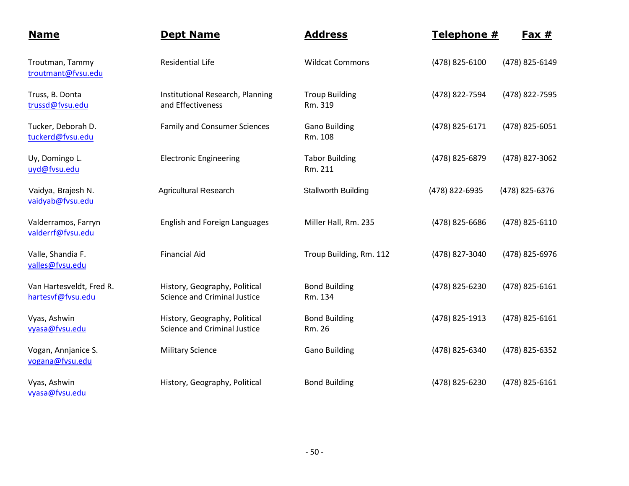| <b>Name</b>                                   | <b>Dept Name</b>                                                     | <b>Address</b>                   | Telephone #    | <u>Fax #</u>   |
|-----------------------------------------------|----------------------------------------------------------------------|----------------------------------|----------------|----------------|
| Troutman, Tammy<br>troutmant@fvsu.edu         | <b>Residential Life</b>                                              | <b>Wildcat Commons</b>           | (478) 825-6100 | (478) 825-6149 |
| Truss, B. Donta<br>trussd@fvsu.edu            | Institutional Research, Planning<br>and Effectiveness                | <b>Troup Building</b><br>Rm. 319 | (478) 822-7594 | (478) 822-7595 |
| Tucker, Deborah D.<br>tuckerd@fvsu.edu        | <b>Family and Consumer Sciences</b>                                  | <b>Gano Building</b><br>Rm. 108  | (478) 825-6171 | (478) 825-6051 |
| Uy, Domingo L.<br>uyd@fvsu.edu                | <b>Electronic Engineering</b>                                        | <b>Tabor Building</b><br>Rm. 211 | (478) 825-6879 | (478) 827-3062 |
| Vaidya, Brajesh N.<br>vaidyab@fvsu.edu        | <b>Agricultural Research</b>                                         | <b>Stallworth Building</b>       | (478) 822-6935 | (478) 825-6376 |
| Valderramos, Farryn<br>valderrf@fvsu.edu      | <b>English and Foreign Languages</b>                                 | Miller Hall, Rm. 235             | (478) 825-6686 | (478) 825-6110 |
| Valle, Shandia F.<br>valles@fvsu.edu          | <b>Financial Aid</b>                                                 | Troup Building, Rm. 112          | (478) 827-3040 | (478) 825-6976 |
| Van Hartesveldt, Fred R.<br>hartesvf@fvsu.edu | History, Geography, Political<br><b>Science and Criminal Justice</b> | <b>Bond Building</b><br>Rm. 134  | (478) 825-6230 | (478) 825-6161 |
| Vyas, Ashwin<br>vyasa@fvsu.edu                | History, Geography, Political<br><b>Science and Criminal Justice</b> | <b>Bond Building</b><br>Rm. 26   | (478) 825-1913 | (478) 825-6161 |
| Vogan, Annjanice S.<br>vogana@fvsu.edu        | <b>Military Science</b>                                              | <b>Gano Building</b>             | (478) 825-6340 | (478) 825-6352 |
| Vyas, Ashwin<br>vyasa@fvsu.edu                | History, Geography, Political                                        | <b>Bond Building</b>             | (478) 825-6230 | (478) 825-6161 |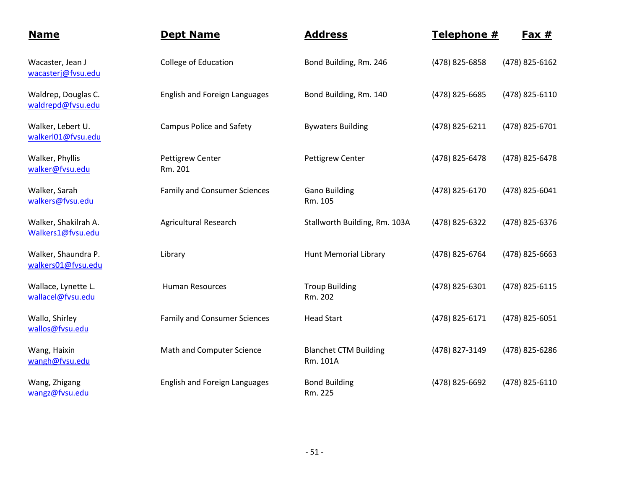| <b>Name</b>                               | <b>Dept Name</b>                     | <b>Address</b>                           | Telephone #    | Fax $#$        |
|-------------------------------------------|--------------------------------------|------------------------------------------|----------------|----------------|
| Wacaster, Jean J<br>wacasterj@fvsu.edu    | <b>College of Education</b>          | Bond Building, Rm. 246                   | (478) 825-6858 | (478) 825-6162 |
| Waldrep, Douglas C.<br>waldrepd@fvsu.edu  | <b>English and Foreign Languages</b> | Bond Building, Rm. 140                   | (478) 825-6685 | (478) 825-6110 |
| Walker, Lebert U.<br>walkerl01@fvsu.edu   | <b>Campus Police and Safety</b>      | <b>Bywaters Building</b>                 | (478) 825-6211 | (478) 825-6701 |
| Walker, Phyllis<br>walker@fvsu.edu        | <b>Pettigrew Center</b><br>Rm. 201   | <b>Pettigrew Center</b>                  | (478) 825-6478 | (478) 825-6478 |
| Walker, Sarah<br>walkers@fvsu.edu         | <b>Family and Consumer Sciences</b>  | <b>Gano Building</b><br>Rm. 105          | (478) 825-6170 | (478) 825-6041 |
| Walker, Shakilrah A.<br>Walkers1@fvsu.edu | <b>Agricultural Research</b>         | Stallworth Building, Rm. 103A            | (478) 825-6322 | (478) 825-6376 |
| Walker, Shaundra P.<br>walkers01@fvsu.edu | Library                              | <b>Hunt Memorial Library</b>             | (478) 825-6764 | (478) 825-6663 |
| Wallace, Lynette L.<br>wallacel@fvsu.edu  | <b>Human Resources</b>               | <b>Troup Building</b><br>Rm. 202         | (478) 825-6301 | (478) 825-6115 |
| Wallo, Shirley<br>wallos@fvsu.edu         | <b>Family and Consumer Sciences</b>  | <b>Head Start</b>                        | (478) 825-6171 | (478) 825-6051 |
| Wang, Haixin<br>wangh@fvsu.edu            | Math and Computer Science            | <b>Blanchet CTM Building</b><br>Rm. 101A | (478) 827-3149 | (478) 825-6286 |
| Wang, Zhigang<br>wangz@fvsu.edu           | <b>English and Foreign Languages</b> | <b>Bond Building</b><br>Rm. 225          | (478) 825-6692 | (478) 825-6110 |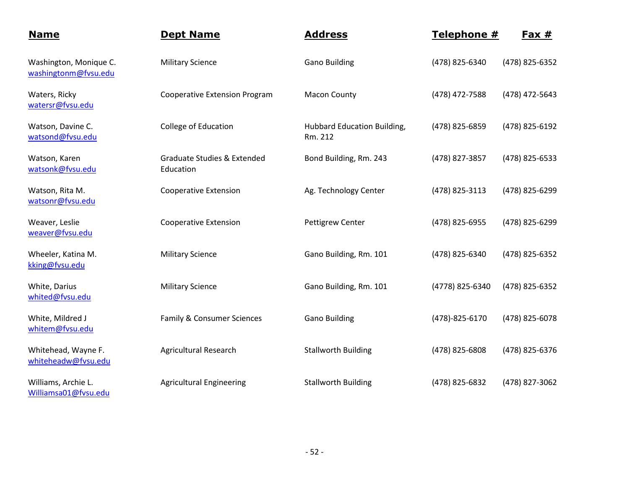| <b>Name</b>                                    | <b>Dept Name</b>                                    | <b>Address</b>                         | Telephone #     | $Fast #$       |
|------------------------------------------------|-----------------------------------------------------|----------------------------------------|-----------------|----------------|
| Washington, Monique C.<br>washingtonm@fvsu.edu | <b>Military Science</b>                             | <b>Gano Building</b>                   | (478) 825-6340  | (478) 825-6352 |
| Waters, Ricky<br>watersr@fvsu.edu              | <b>Cooperative Extension Program</b>                | <b>Macon County</b>                    | (478) 472-7588  | (478) 472-5643 |
| Watson, Davine C.<br>watsond@fvsu.edu          | College of Education                                | Hubbard Education Building,<br>Rm. 212 | (478) 825-6859  | (478) 825-6192 |
| Watson, Karen<br>watsonk@fvsu.edu              | <b>Graduate Studies &amp; Extended</b><br>Education | Bond Building, Rm. 243                 | (478) 827-3857  | (478) 825-6533 |
| Watson, Rita M.<br>watsonr@fvsu.edu            | <b>Cooperative Extension</b>                        | Ag. Technology Center                  | (478) 825-3113  | (478) 825-6299 |
| Weaver, Leslie<br>weaver@fvsu.edu              | <b>Cooperative Extension</b>                        | <b>Pettigrew Center</b>                | (478) 825-6955  | (478) 825-6299 |
| Wheeler, Katina M.<br>kking@fvsu.edu           | <b>Military Science</b>                             | Gano Building, Rm. 101                 | (478) 825-6340  | (478) 825-6352 |
| White, Darius<br>whited@fvsu.edu               | <b>Military Science</b>                             | Gano Building, Rm. 101                 | (4778) 825-6340 | (478) 825-6352 |
| White, Mildred J<br>whitem@fvsu.edu            | Family & Consumer Sciences                          | <b>Gano Building</b>                   | (478)-825-6170  | (478) 825-6078 |
| Whitehead, Wayne F.<br>whiteheadw@fvsu.edu     | <b>Agricultural Research</b>                        | <b>Stallworth Building</b>             | (478) 825-6808  | (478) 825-6376 |
| Williams, Archie L.<br>Williamsa01@fvsu.edu    | <b>Agricultural Engineering</b>                     | <b>Stallworth Building</b>             | (478) 825-6832  | (478) 827-3062 |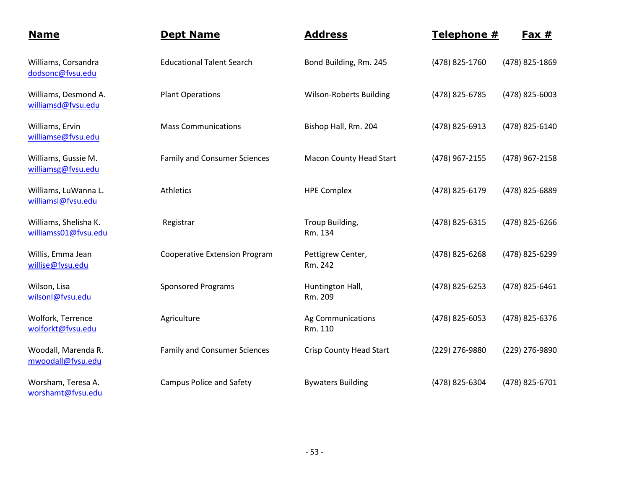| <b>Name</b>                                   | <b>Dept Name</b>                     | <b>Address</b>                 | Telephone #    | <u>Fax #</u>   |
|-----------------------------------------------|--------------------------------------|--------------------------------|----------------|----------------|
| Williams, Corsandra<br>dodsonc@fvsu.edu       | <b>Educational Talent Search</b>     | Bond Building, Rm. 245         | (478) 825-1760 | (478) 825-1869 |
| Williams, Desmond A.<br>williamsd@fvsu.edu    | <b>Plant Operations</b>              | <b>Wilson-Roberts Building</b> | (478) 825-6785 | (478) 825-6003 |
| Williams, Ervin<br>williamse@fvsu.edu         | <b>Mass Communications</b>           | Bishop Hall, Rm. 204           | (478) 825-6913 | (478) 825-6140 |
| Williams, Gussie M.<br>williamsg@fvsu.edu     | <b>Family and Consumer Sciences</b>  | <b>Macon County Head Start</b> | (478) 967-2155 | (478) 967-2158 |
| Williams, LuWanna L.<br>williamsl@fvsu.edu    | Athletics                            | <b>HPE Complex</b>             | (478) 825-6179 | (478) 825-6889 |
| Williams, Shelisha K.<br>williamss01@fvsu.edu | Registrar                            | Troup Building,<br>Rm. 134     | (478) 825-6315 | (478) 825-6266 |
| Willis, Emma Jean<br>willise@fvsu.edu         | <b>Cooperative Extension Program</b> | Pettigrew Center,<br>Rm. 242   | (478) 825-6268 | (478) 825-6299 |
| Wilson, Lisa<br>wilsonl@fvsu.edu              | <b>Sponsored Programs</b>            | Huntington Hall,<br>Rm. 209    | (478) 825-6253 | (478) 825-6461 |
| Wolfork, Terrence<br>wolforkt@fvsu.edu        | Agriculture                          | Ag Communications<br>Rm. 110   | (478) 825-6053 | (478) 825-6376 |
| Woodall, Marenda R.<br>mwoodall@fvsu.edu      | <b>Family and Consumer Sciences</b>  | <b>Crisp County Head Start</b> | (229) 276-9880 | (229) 276-9890 |
| Worsham, Teresa A.<br>worshamt@fvsu.edu       | <b>Campus Police and Safety</b>      | <b>Bywaters Building</b>       | (478) 825-6304 | (478) 825-6701 |